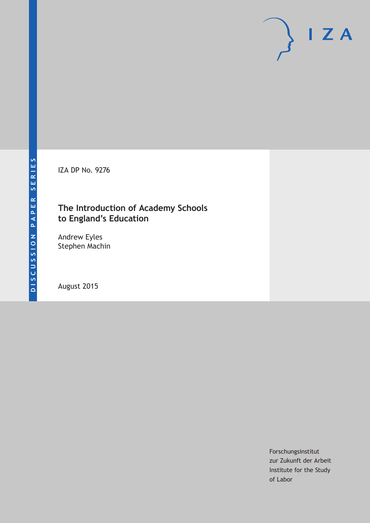IZA DP No. 9276

# **The Introduction of Academy Schools to England's Education**

Andrew Eyles Stephen Machin

August 2015

Forschungsinstitut zur Zukunft der Arbeit Institute for the Study of Labor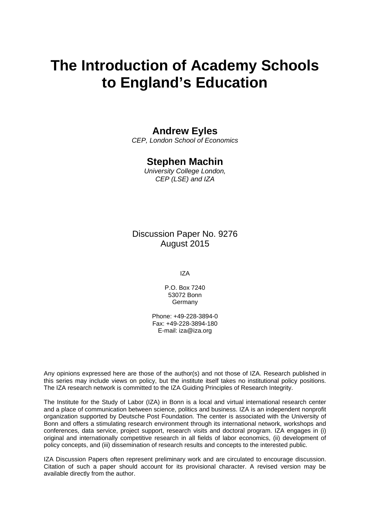# **The Introduction of Academy Schools to England's Education**

# **Andrew Eyles**

*CEP, London School of Economics* 

# **Stephen Machin**

*University College London, CEP (LSE) and IZA* 

Discussion Paper No. 9276 August 2015

IZA

P.O. Box 7240 53072 Bonn **Germany** 

Phone: +49-228-3894-0 Fax: +49-228-3894-180 E-mail: iza@iza.org

Any opinions expressed here are those of the author(s) and not those of IZA. Research published in this series may include views on policy, but the institute itself takes no institutional policy positions. The IZA research network is committed to the IZA Guiding Principles of Research Integrity.

The Institute for the Study of Labor (IZA) in Bonn is a local and virtual international research center and a place of communication between science, politics and business. IZA is an independent nonprofit organization supported by Deutsche Post Foundation. The center is associated with the University of Bonn and offers a stimulating research environment through its international network, workshops and conferences, data service, project support, research visits and doctoral program. IZA engages in (i) original and internationally competitive research in all fields of labor economics, (ii) development of policy concepts, and (iii) dissemination of research results and concepts to the interested public.

IZA Discussion Papers often represent preliminary work and are circulated to encourage discussion. Citation of such a paper should account for its provisional character. A revised version may be available directly from the author.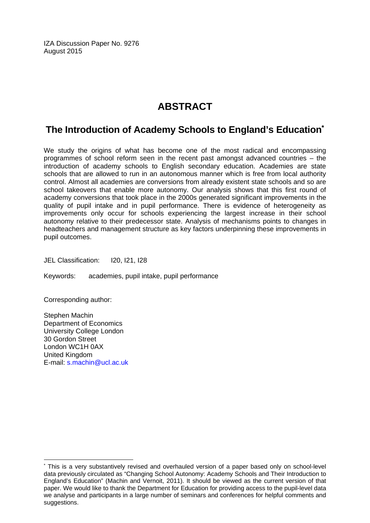IZA Discussion Paper No. 9276 August 2015

# **ABSTRACT**

# **The Introduction of Academy Schools to England's Education\***

We study the origins of what has become one of the most radical and encompassing programmes of school reform seen in the recent past amongst advanced countries – the introduction of academy schools to English secondary education. Academies are state schools that are allowed to run in an autonomous manner which is free from local authority control. Almost all academies are conversions from already existent state schools and so are school takeovers that enable more autonomy. Our analysis shows that this first round of academy conversions that took place in the 2000s generated significant improvements in the quality of pupil intake and in pupil performance. There is evidence of heterogeneity as improvements only occur for schools experiencing the largest increase in their school autonomy relative to their predecessor state. Analysis of mechanisms points to changes in headteachers and management structure as key factors underpinning these improvements in pupil outcomes.

JEL Classification: I20, I21, I28

Keywords: academies, pupil intake, pupil performance

Corresponding author:

 $\overline{a}$ 

Stephen Machin Department of Economics University College London 30 Gordon Street London WC1H 0AX United Kingdom E-mail: s.machin@ucl.ac.uk

<sup>\*</sup> This is a very substantively revised and overhauled version of a paper based only on school-level data previously circulated as "Changing School Autonomy: Academy Schools and Their Introduction to England's Education" (Machin and Vernoit, 2011). It should be viewed as the current version of that paper. We would like to thank the Department for Education for providing access to the pupil-level data we analyse and participants in a large number of seminars and conferences for helpful comments and suggestions.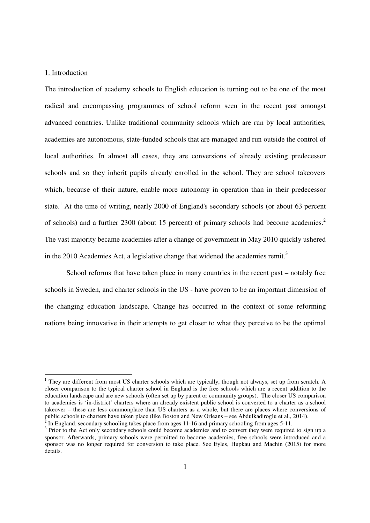#### 1. Introduction

-

The introduction of academy schools to English education is turning out to be one of the most radical and encompassing programmes of school reform seen in the recent past amongst advanced countries. Unlike traditional community schools which are run by local authorities, academies are autonomous, state-funded schools that are managed and run outside the control of local authorities. In almost all cases, they are conversions of already existing predecessor schools and so they inherit pupils already enrolled in the school. They are school takeovers which, because of their nature, enable more autonomy in operation than in their predecessor state.<sup>1</sup> At the time of writing, nearly 2000 of England's secondary schools (or about 63 percent of schools) and a further 2300 (about 15 percent) of primary schools had become academies.<sup>2</sup> The vast majority became academies after a change of government in May 2010 quickly ushered in the 2010 Academies Act, a legislative change that widened the academies remit.<sup>3</sup>

School reforms that have taken place in many countries in the recent past – notably free schools in Sweden, and charter schools in the US - have proven to be an important dimension of the changing education landscape. Change has occurred in the context of some reforming nations being innovative in their attempts to get closer to what they perceive to be the optimal

<sup>&</sup>lt;sup>1</sup> They are different from most US charter schools which are typically, though not always, set up from scratch. A closer comparison to the typical charter school in England is the free schools which are a recent addition to the education landscape and are new schools (often set up by parent or community groups). The closer US comparison to academies is 'in-district' charters where an already existent public school is converted to a charter as a school takeover – these are less commonplace than US charters as a whole, but there are places where conversions of public schools to charters have taken place (like Boston and New Orleans – see Abdulkadiroglu et al., 2014).

 $2^{2}$  In England, secondary schooling takes place from ages 11-16 and primary schooling from ages 5-11.

<sup>&</sup>lt;sup>3</sup> Prior to the Act only secondary schools could become academies and to convert they were required to sign up a sponsor. Afterwards, primary schools were permitted to become academies, free schools were introduced and a sponsor was no longer required for conversion to take place. See Eyles, Hupkau and Machin (2015) for more details.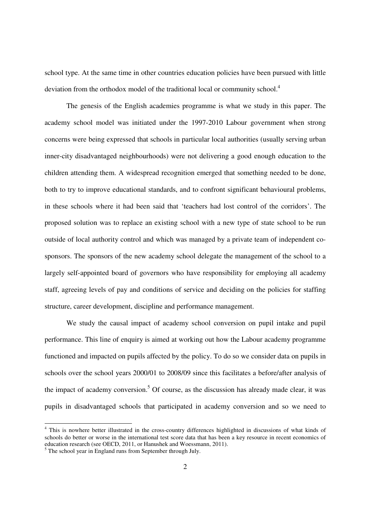school type. At the same time in other countries education policies have been pursued with little deviation from the orthodox model of the traditional local or community school.<sup>4</sup>

The genesis of the English academies programme is what we study in this paper. The academy school model was initiated under the 1997-2010 Labour government when strong concerns were being expressed that schools in particular local authorities (usually serving urban inner-city disadvantaged neighbourhoods) were not delivering a good enough education to the children attending them. A widespread recognition emerged that something needed to be done, both to try to improve educational standards, and to confront significant behavioural problems, in these schools where it had been said that 'teachers had lost control of the corridors'. The proposed solution was to replace an existing school with a new type of state school to be run outside of local authority control and which was managed by a private team of independent cosponsors. The sponsors of the new academy school delegate the management of the school to a largely self-appointed board of governors who have responsibility for employing all academy staff, agreeing levels of pay and conditions of service and deciding on the policies for staffing structure, career development, discipline and performance management.

We study the causal impact of academy school conversion on pupil intake and pupil performance. This line of enquiry is aimed at working out how the Labour academy programme functioned and impacted on pupils affected by the policy. To do so we consider data on pupils in schools over the school years 2000/01 to 2008/09 since this facilitates a before/after analysis of the impact of academy conversion.<sup>5</sup> Of course, as the discussion has already made clear, it was pupils in disadvantaged schools that participated in academy conversion and so we need to

 4 This is nowhere better illustrated in the cross-country differences highlighted in discussions of what kinds of schools do better or worse in the international test score data that has been a key resource in recent economics of education research (see OECD, 2011, or Hanushek and Woessmann, 2011).<br><sup>5</sup> The school year in England runs from September through July.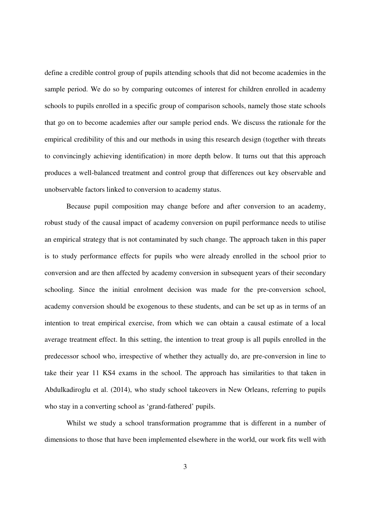define a credible control group of pupils attending schools that did not become academies in the sample period. We do so by comparing outcomes of interest for children enrolled in academy schools to pupils enrolled in a specific group of comparison schools, namely those state schools that go on to become academies after our sample period ends. We discuss the rationale for the empirical credibility of this and our methods in using this research design (together with threats to convincingly achieving identification) in more depth below. It turns out that this approach produces a well-balanced treatment and control group that differences out key observable and unobservable factors linked to conversion to academy status.

Because pupil composition may change before and after conversion to an academy, robust study of the causal impact of academy conversion on pupil performance needs to utilise an empirical strategy that is not contaminated by such change. The approach taken in this paper is to study performance effects for pupils who were already enrolled in the school prior to conversion and are then affected by academy conversion in subsequent years of their secondary schooling. Since the initial enrolment decision was made for the pre-conversion school, academy conversion should be exogenous to these students, and can be set up as in terms of an intention to treat empirical exercise, from which we can obtain a causal estimate of a local average treatment effect. In this setting, the intention to treat group is all pupils enrolled in the predecessor school who, irrespective of whether they actually do, are pre-conversion in line to take their year 11 KS4 exams in the school. The approach has similarities to that taken in Abdulkadiroglu et al. (2014), who study school takeovers in New Orleans, referring to pupils who stay in a converting school as 'grand-fathered' pupils.

Whilst we study a school transformation programme that is different in a number of dimensions to those that have been implemented elsewhere in the world, our work fits well with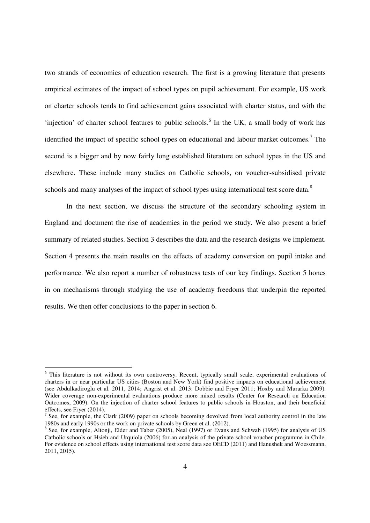two strands of economics of education research. The first is a growing literature that presents empirical estimates of the impact of school types on pupil achievement. For example, US work on charter schools tends to find achievement gains associated with charter status, and with the 'injection' of charter school features to public schools.<sup>6</sup> In the UK, a small body of work has identified the impact of specific school types on educational and labour market outcomes.<sup>7</sup> The second is a bigger and by now fairly long established literature on school types in the US and elsewhere. These include many studies on Catholic schools, on voucher-subsidised private schools and many analyses of the impact of school types using international test score data.<sup>8</sup>

In the next section, we discuss the structure of the secondary schooling system in England and document the rise of academies in the period we study. We also present a brief summary of related studies. Section 3 describes the data and the research designs we implement. Section 4 presents the main results on the effects of academy conversion on pupil intake and performance. We also report a number of robustness tests of our key findings. Section 5 hones in on mechanisms through studying the use of academy freedoms that underpin the reported results. We then offer conclusions to the paper in section 6.

 6 This literature is not without its own controversy. Recent, typically small scale, experimental evaluations of charters in or near particular US cities (Boston and New York) find positive impacts on educational achievement (see Abdulkadiroglu et al. 2011, 2014; Angrist et al. 2013; Dobbie and Fryer 2011; Hoxby and Murarka 2009). Wider coverage non-experimental evaluations produce more mixed results (Center for Research on Education Outcomes, 2009). On the injection of charter school features to public schools in Houston, and their beneficial effects, see Fryer (2014).

<sup>7</sup> See, for example, the Clark (2009) paper on schools becoming devolved from local authority control in the late 1980s and early 1990s or the work on private schools by Green et al. (2012).

<sup>&</sup>lt;sup>8</sup> See, for example, Altonji, Elder and Taber (2005), Neal (1997) or Evans and Schwab (1995) for analysis of US Catholic schools or Hsieh and Urquiola (2006) for an analysis of the private school voucher programme in Chile. For evidence on school effects using international test score data see OECD (2011) and Hanushek and Woessmann, 2011, 2015).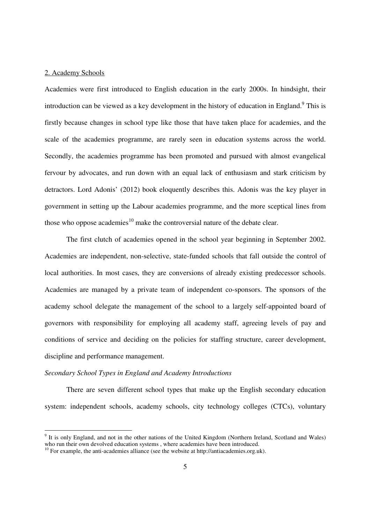# 2. Academy Schools

Academies were first introduced to English education in the early 2000s. In hindsight, their introduction can be viewed as a key development in the history of education in England.<sup>9</sup> This is firstly because changes in school type like those that have taken place for academies, and the scale of the academies programme, are rarely seen in education systems across the world. Secondly, the academies programme has been promoted and pursued with almost evangelical fervour by advocates, and run down with an equal lack of enthusiasm and stark criticism by detractors. Lord Adonis' (2012) book eloquently describes this. Adonis was the key player in government in setting up the Labour academies programme, and the more sceptical lines from those who oppose academies<sup>10</sup> make the controversial nature of the debate clear.

 The first clutch of academies opened in the school year beginning in September 2002. Academies are independent, non-selective, state-funded schools that fall outside the control of local authorities. In most cases, they are conversions of already existing predecessor schools. Academies are managed by a private team of independent co-sponsors. The sponsors of the academy school delegate the management of the school to a largely self-appointed board of governors with responsibility for employing all academy staff, agreeing levels of pay and conditions of service and deciding on the policies for staffing structure, career development, discipline and performance management.

## *Secondary School Types in England and Academy Introductions*

There are seven different school types that make up the English secondary education system: independent schools, academy schools, city technology colleges (CTCs), voluntary

<sup>&</sup>lt;sup>9</sup> It is only England, and not in the other nations of the United Kingdom (Northern Ireland, Scotland and Wales) who run their own devolved education systems, where academies have been introduced.

<sup>&</sup>lt;sup>10</sup> For example, the anti-academies alliance (see the website at http://antiacademies.org.uk).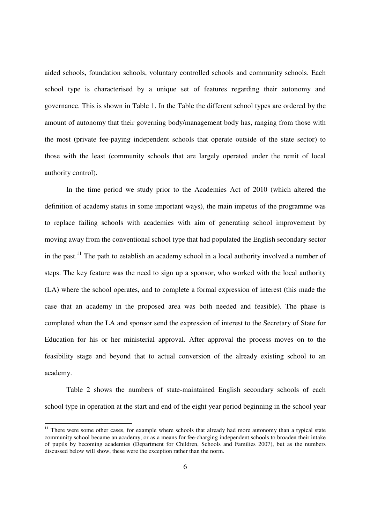aided schools, foundation schools, voluntary controlled schools and community schools. Each school type is characterised by a unique set of features regarding their autonomy and governance. This is shown in Table 1. In the Table the different school types are ordered by the amount of autonomy that their governing body/management body has, ranging from those with the most (private fee-paying independent schools that operate outside of the state sector) to those with the least (community schools that are largely operated under the remit of local authority control).

In the time period we study prior to the Academies Act of 2010 (which altered the definition of academy status in some important ways), the main impetus of the programme was to replace failing schools with academies with aim of generating school improvement by moving away from the conventional school type that had populated the English secondary sector in the past.<sup>11</sup> The path to establish an academy school in a local authority involved a number of steps. The key feature was the need to sign up a sponsor, who worked with the local authority (LA) where the school operates, and to complete a formal expression of interest (this made the case that an academy in the proposed area was both needed and feasible). The phase is completed when the LA and sponsor send the expression of interest to the Secretary of State for Education for his or her ministerial approval. After approval the process moves on to the feasibility stage and beyond that to actual conversion of the already existing school to an academy.

Table 2 shows the numbers of state-maintained English secondary schools of each school type in operation at the start and end of the eight year period beginning in the school year

-

<sup>&</sup>lt;sup>11</sup> There were some other cases, for example where schools that already had more autonomy than a typical state community school became an academy, or as a means for fee-charging independent schools to broaden their intake of pupils by becoming academies (Department for Children, Schools and Families 2007), but as the numbers discussed below will show, these were the exception rather than the norm.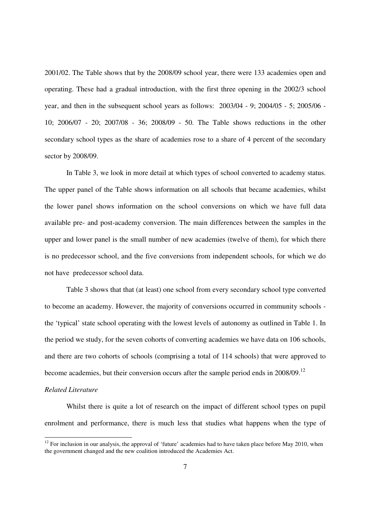2001/02. The Table shows that by the 2008/09 school year, there were 133 academies open and operating. These had a gradual introduction, with the first three opening in the 2002/3 school year, and then in the subsequent school years as follows: 2003/04 - 9; 2004/05 - 5; 2005/06 - 10; 2006/07 - 20; 2007/08 - 36; 2008/09 - 50. The Table shows reductions in the other secondary school types as the share of academies rose to a share of 4 percent of the secondary sector by 2008/09.

In Table 3, we look in more detail at which types of school converted to academy status. The upper panel of the Table shows information on all schools that became academies, whilst the lower panel shows information on the school conversions on which we have full data available pre- and post-academy conversion. The main differences between the samples in the upper and lower panel is the small number of new academies (twelve of them), for which there is no predecessor school, and the five conversions from independent schools, for which we do not have predecessor school data.

Table 3 shows that that (at least) one school from every secondary school type converted to become an academy. However, the majority of conversions occurred in community schools the 'typical' state school operating with the lowest levels of autonomy as outlined in Table 1. In the period we study, for the seven cohorts of converting academies we have data on 106 schools, and there are two cohorts of schools (comprising a total of 114 schools) that were approved to become academies, but their conversion occurs after the sample period ends in 2008/09.<sup>12</sup>

# *Related Literature*

 $\overline{a}$ 

Whilst there is quite a lot of research on the impact of different school types on pupil enrolment and performance, there is much less that studies what happens when the type of

 $12$  For inclusion in our analysis, the approval of 'future' academies had to have taken place before May 2010, when the government changed and the new coalition introduced the Academies Act.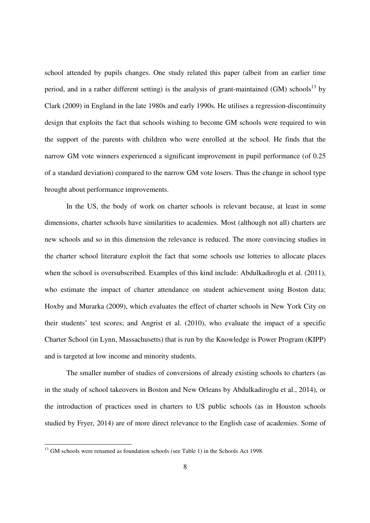school attended by pupils changes. One study related this paper (albeit from an earlier time period, and in a rather different setting) is the analysis of grant-maintained (GM) schools<sup>13</sup> by Clark (2009) in England in the late 1980s and early 1990s. He utilises a regression-discontinuity design that exploits the fact that schools wishing to become GM schools were required to win the support of the parents with children who were enrolled at the school. He finds that the narrow GM vote winners experienced a significant improvement in pupil performance (of 0.25 of a standard deviation) compared to the narrow GM vote losers. Thus the change in school type brought about performance improvements.

In the US, the body of work on charter schools is relevant because, at least in some dimensions, charter schools have similarities to academies. Most (although not all) charters are new schools and so in this dimension the relevance is reduced. The more convincing studies in the charter school literature exploit the fact that some schools use lotteries to allocate places when the school is oversubscribed. Examples of this kind include: Abdulkadiroglu et al. (2011), who estimate the impact of charter attendance on student achievement using Boston data; Hoxby and Murarka (2009), which evaluates the effect of charter schools in New York City on their students' test scores; and Angrist et al. (2010), who evaluate the impact of a specific Charter School (in Lynn, Massachusetts) that is run by the Knowledge is Power Program (KIPP) and is targeted at low income and minority students.

The smaller number of studies of conversions of already existing schools to charters (as in the study of school takeovers in Boston and New Orleans by Abdulkadiroglu et al., 2014), or the introduction of practices used in charters to US public schools (as in Houston schools studied by Fryer, 2014) are of more direct relevance to the English case of academies. Some of

 $\overline{a}$ 

<sup>&</sup>lt;sup>13</sup> GM schools were renamed as foundation schools (see Table 1) in the Schools Act 1998.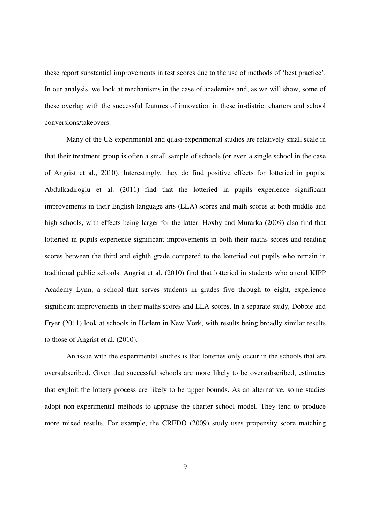these report substantial improvements in test scores due to the use of methods of 'best practice'. In our analysis, we look at mechanisms in the case of academies and, as we will show, some of these overlap with the successful features of innovation in these in-district charters and school conversions/takeovers.

Many of the US experimental and quasi-experimental studies are relatively small scale in that their treatment group is often a small sample of schools (or even a single school in the case of Angrist et al., 2010). Interestingly, they do find positive effects for lotteried in pupils. Abdulkadiroglu et al. (2011) find that the lotteried in pupils experience significant improvements in their English language arts (ELA) scores and math scores at both middle and high schools, with effects being larger for the latter. Hoxby and Murarka (2009) also find that lotteried in pupils experience significant improvements in both their maths scores and reading scores between the third and eighth grade compared to the lotteried out pupils who remain in traditional public schools. Angrist et al. (2010) find that lotteried in students who attend KIPP Academy Lynn, a school that serves students in grades five through to eight, experience significant improvements in their maths scores and ELA scores. In a separate study, Dobbie and Fryer (2011) look at schools in Harlem in New York, with results being broadly similar results to those of Angrist et al. (2010).

An issue with the experimental studies is that lotteries only occur in the schools that are oversubscribed. Given that successful schools are more likely to be oversubscribed, estimates that exploit the lottery process are likely to be upper bounds. As an alternative, some studies adopt non-experimental methods to appraise the charter school model. They tend to produce more mixed results. For example, the CREDO (2009) study uses propensity score matching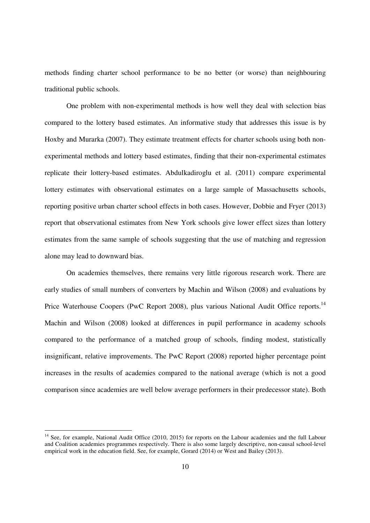methods finding charter school performance to be no better (or worse) than neighbouring traditional public schools.

One problem with non-experimental methods is how well they deal with selection bias compared to the lottery based estimates. An informative study that addresses this issue is by Hoxby and Murarka (2007). They estimate treatment effects for charter schools using both nonexperimental methods and lottery based estimates, finding that their non-experimental estimates replicate their lottery-based estimates. Abdulkadiroglu et al. (2011) compare experimental lottery estimates with observational estimates on a large sample of Massachusetts schools, reporting positive urban charter school effects in both cases. However, Dobbie and Fryer (2013) report that observational estimates from New York schools give lower effect sizes than lottery estimates from the same sample of schools suggesting that the use of matching and regression alone may lead to downward bias.

On academies themselves, there remains very little rigorous research work. There are early studies of small numbers of converters by Machin and Wilson (2008) and evaluations by Price Waterhouse Coopers (PwC Report 2008), plus various National Audit Office reports.<sup>14</sup> Machin and Wilson (2008) looked at differences in pupil performance in academy schools compared to the performance of a matched group of schools, finding modest, statistically insignificant, relative improvements. The PwC Report (2008) reported higher percentage point increases in the results of academies compared to the national average (which is not a good comparison since academies are well below average performers in their predecessor state). Both

 $\overline{a}$ 

<sup>&</sup>lt;sup>14</sup> See, for example, National Audit Office (2010, 2015) for reports on the Labour academies and the full Labour and Coalition academies programmes respectively. There is also some largely descriptive, non-causal school-level empirical work in the education field. See, for example, Gorard (2014) or West and Bailey (2013).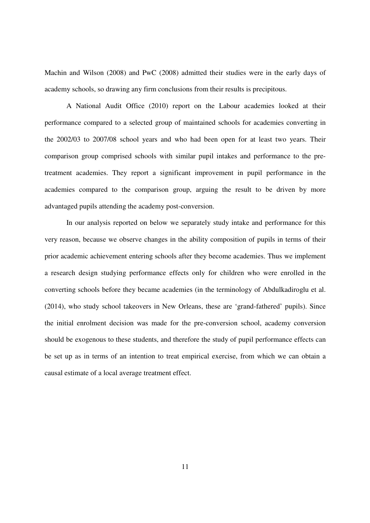Machin and Wilson (2008) and PwC (2008) admitted their studies were in the early days of academy schools, so drawing any firm conclusions from their results is precipitous.

A National Audit Office (2010) report on the Labour academies looked at their performance compared to a selected group of maintained schools for academies converting in the 2002/03 to 2007/08 school years and who had been open for at least two years. Their comparison group comprised schools with similar pupil intakes and performance to the pretreatment academies. They report a significant improvement in pupil performance in the academies compared to the comparison group, arguing the result to be driven by more advantaged pupils attending the academy post-conversion.

In our analysis reported on below we separately study intake and performance for this very reason, because we observe changes in the ability composition of pupils in terms of their prior academic achievement entering schools after they become academies. Thus we implement a research design studying performance effects only for children who were enrolled in the converting schools before they became academies (in the terminology of Abdulkadiroglu et al. (2014), who study school takeovers in New Orleans, these are 'grand-fathered' pupils). Since the initial enrolment decision was made for the pre-conversion school, academy conversion should be exogenous to these students, and therefore the study of pupil performance effects can be set up as in terms of an intention to treat empirical exercise, from which we can obtain a causal estimate of a local average treatment effect.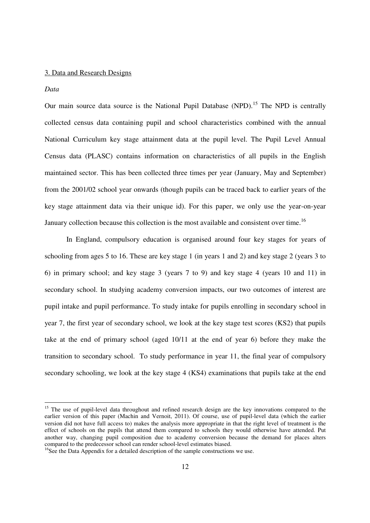#### 3. Data and Research Designs

#### *Data*

 $\overline{a}$ 

Our main source data source is the National Pupil Database (NPD).<sup>15</sup> The NPD is centrally collected census data containing pupil and school characteristics combined with the annual National Curriculum key stage attainment data at the pupil level. The Pupil Level Annual Census data (PLASC) contains information on characteristics of all pupils in the English maintained sector. This has been collected three times per year (January, May and September) from the 2001/02 school year onwards (though pupils can be traced back to earlier years of the key stage attainment data via their unique id). For this paper, we only use the year-on-year January collection because this collection is the most available and consistent over time.<sup>16</sup>

In England, compulsory education is organised around four key stages for years of schooling from ages 5 to 16. These are key stage 1 (in years 1 and 2) and key stage 2 (years 3 to 6) in primary school; and key stage 3 (years 7 to 9) and key stage 4 (years 10 and 11) in secondary school. In studying academy conversion impacts, our two outcomes of interest are pupil intake and pupil performance. To study intake for pupils enrolling in secondary school in year 7, the first year of secondary school, we look at the key stage test scores (KS2) that pupils take at the end of primary school (aged 10/11 at the end of year 6) before they make the transition to secondary school. To study performance in year 11, the final year of compulsory secondary schooling, we look at the key stage 4 (KS4) examinations that pupils take at the end

<sup>&</sup>lt;sup>15</sup> The use of pupil-level data throughout and refined research design are the key innovations compared to the earlier version of this paper (Machin and Vernoit, 2011). Of course, use of pupil-level data (which the earlier version did not have full access to) makes the analysis more appropriate in that the right level of treatment is the effect of schools on the pupils that attend them compared to schools they would otherwise have attended. Put another way, changing pupil composition due to academy conversion because the demand for places alters compared to the predecessor school can render school-level estimates biased.

<sup>&</sup>lt;sup>16</sup>See the Data Appendix for a detailed description of the sample constructions we use.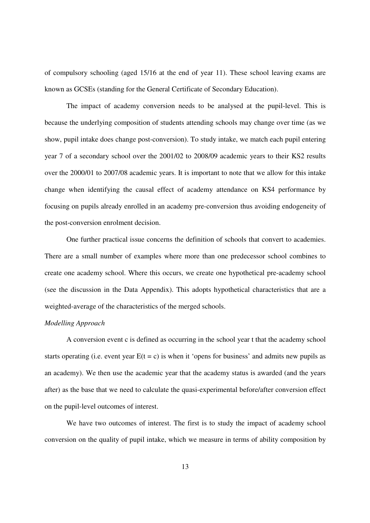of compulsory schooling (aged 15/16 at the end of year 11). These school leaving exams are known as GCSEs (standing for the General Certificate of Secondary Education).

The impact of academy conversion needs to be analysed at the pupil-level. This is because the underlying composition of students attending schools may change over time (as we show, pupil intake does change post-conversion). To study intake, we match each pupil entering year 7 of a secondary school over the 2001/02 to 2008/09 academic years to their KS2 results over the 2000/01 to 2007/08 academic years. It is important to note that we allow for this intake change when identifying the causal effect of academy attendance on KS4 performance by focusing on pupils already enrolled in an academy pre-conversion thus avoiding endogeneity of the post-conversion enrolment decision.

One further practical issue concerns the definition of schools that convert to academies. There are a small number of examples where more than one predecessor school combines to create one academy school. Where this occurs, we create one hypothetical pre-academy school (see the discussion in the Data Appendix). This adopts hypothetical characteristics that are a weighted-average of the characteristics of the merged schools.

# *Modelling Approach*

A conversion event c is defined as occurring in the school year t that the academy school starts operating (i.e. event year  $E(t = c)$  is when it 'opens for business' and admits new pupils as an academy). We then use the academic year that the academy status is awarded (and the years after) as the base that we need to calculate the quasi-experimental before/after conversion effect on the pupil-level outcomes of interest.

We have two outcomes of interest. The first is to study the impact of academy school conversion on the quality of pupil intake, which we measure in terms of ability composition by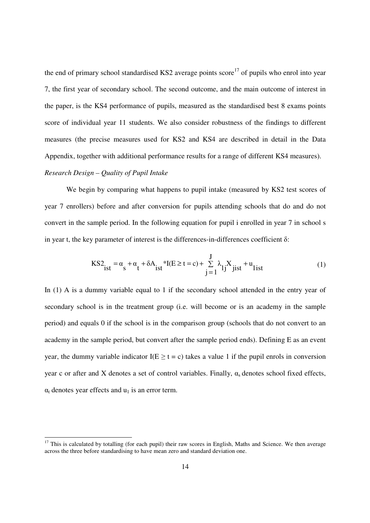the end of primary school standardised KS2 average points score<sup>17</sup> of pupils who enrol into year 7, the first year of secondary school. The second outcome, and the main outcome of interest in the paper, is the KS4 performance of pupils, measured as the standardised best 8 exams points score of individual year 11 students. We also consider robustness of the findings to different measures (the precise measures used for KS2 and KS4 are described in detail in the Data Appendix, together with additional performance results for a range of different KS4 measures).

# *Research Design – Quality of Pupil Intake*

 $\overline{a}$ 

We begin by comparing what happens to pupil intake (measured by KS2 test scores of year 7 enrollers) before and after conversion for pupils attending schools that do and do not convert in the sample period. In the following equation for pupil i enrolled in year 7 in school s in year t, the key parameter of interest is the differences-in-differences coefficient  $\delta$ :

$$
KS_{ist}^{2} = \alpha_{s} + \alpha_{t} + \delta A_{ist} * I(E \ge t = c) + \sum_{j=1}^{J} \lambda_{1j} X_{jist} + u_{list}
$$
 (1)

In (1) A is a dummy variable equal to 1 if the secondary school attended in the entry year of secondary school is in the treatment group (i.e. will become or is an academy in the sample period) and equals 0 if the school is in the comparison group (schools that do not convert to an academy in the sample period, but convert after the sample period ends). Defining E as an event year, the dummy variable indicator  $I(E \ge t = c)$  takes a value 1 if the pupil enrols in conversion year c or after and X denotes a set of control variables. Finally,  $\alpha_s$  denotes school fixed effects,  $\alpha_t$  denotes year effects and  $u_1$  is an error term.

 $17$  This is calculated by totalling (for each pupil) their raw scores in English, Maths and Science. We then average across the three before standardising to have mean zero and standard deviation one.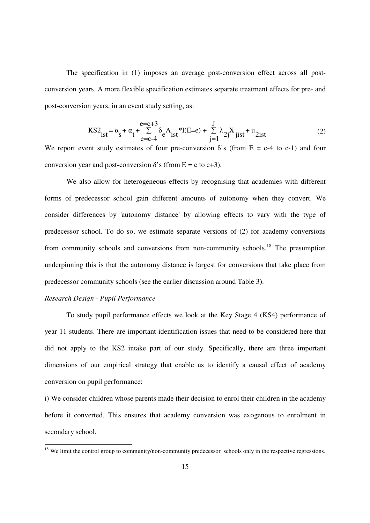The specification in (1) imposes an average post-conversion effect across all postconversion years. A more flexible specification estimates separate treatment effects for pre- and post-conversion years, in an event study setting, as:

$$
KS_{ist}^{2} = \alpha_{s} + \alpha_{t} + \sum_{e=c-4}^{e=c+3} \delta_{e} A_{ist} * I(E=e) + \sum_{j=1}^{J} \lambda_{2j} X_{jist} + u_{2ist}
$$
(2)

We report event study estimates of four pre-conversion  $\delta$ 's (from E = c-4 to c-1) and four conversion year and post-conversion  $\delta$ 's (from E = c to c+3).

We also allow for heterogeneous effects by recognising that academies with different forms of predecessor school gain different amounts of autonomy when they convert. We consider differences by 'autonomy distance' by allowing effects to vary with the type of predecessor school. To do so, we estimate separate versions of (2) for academy conversions from community schools and conversions from non-community schools.<sup>18</sup> The presumption underpinning this is that the autonomy distance is largest for conversions that take place from predecessor community schools (see the earlier discussion around Table 3).

## *Research Design - Pupil Performance*

 $\overline{a}$ 

 To study pupil performance effects we look at the Key Stage 4 (KS4) performance of year 11 students. There are important identification issues that need to be considered here that did not apply to the KS2 intake part of our study. Specifically, there are three important dimensions of our empirical strategy that enable us to identify a causal effect of academy conversion on pupil performance:

i) We consider children whose parents made their decision to enrol their children in the academy before it converted. This ensures that academy conversion was exogenous to enrolment in secondary school.

<sup>&</sup>lt;sup>18</sup> We limit the control group to community/non-community predecessor schools only in the respective regressions.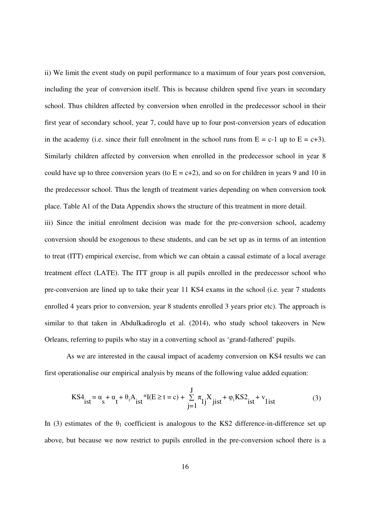ii) We limit the event study on pupil performance to a maximum of four years post conversion, including the year of conversion itself. This is because children spend five years in secondary school. Thus children affected by conversion when enrolled in the predecessor school in their first year of secondary school, year 7, could have up to four post-conversion years of education in the academy (i.e. since their full enrolment in the school runs from  $E = c-1$  up to  $E = c+3$ ). Similarly children affected by conversion when enrolled in the predecessor school in year 8 could have up to three conversion years (to  $E = c+2$ ), and so on for children in years 9 and 10 in the predecessor school. Thus the length of treatment varies depending on when conversion took place. Table A1 of the Data Appendix shows the structure of this treatment in more detail.

iii) Since the initial enrolment decision was made for the pre-conversion school, academy conversion should be exogenous to these students, and can be set up as in terms of an intention to treat (ITT) empirical exercise, from which we can obtain a causal estimate of a local average treatment effect (LATE). The ITT group is all pupils enrolled in the predecessor school who pre-conversion are lined up to take their year 11 KS4 exams in the school (i.e. year 7 students enrolled 4 years prior to conversion, year 8 students enrolled 3 years prior etc). The approach is similar to that taken in Abdulkadiroglu et al. (2014), who study school takeovers in New Orleans, referring to pupils who stay in a converting school as 'grand-fathered' pupils.

 As we are interested in the causal impact of academy conversion on KS4 results we can first operationalise our empirical analysis by means of the following value added equation:

$$
KS_{ist}^{4} = \alpha_{s} + \alpha_{t} + \theta_{t}A_{ist} * I(E \ge t = c) + \sum_{j=1}^{J} \pi_{lj}X_{jist} + \varphi_{l}KS_{ist}^{2} + v_{list}
$$
(3)

In (3) estimates of the  $\theta_1$  coefficient is analogous to the KS2 difference-in-difference set up above, but because we now restrict to pupils enrolled in the pre-conversion school there is a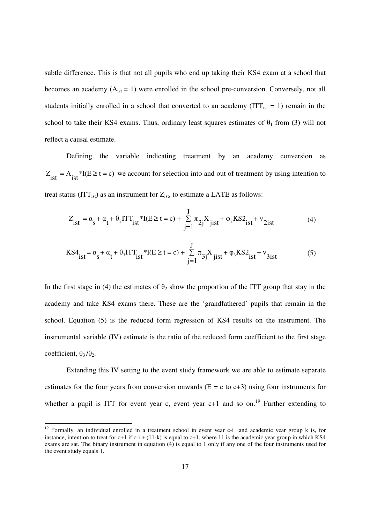subtle difference. This is that not all pupils who end up taking their KS4 exam at a school that becomes an academy  $(A<sub>ist</sub> = 1)$  were enrolled in the school pre-conversion. Conversely, not all students initially enrolled in a school that converted to an academy ( $ITT_{\text{ist}} = 1$ ) remain in the school to take their KS4 exams. Thus, ordinary least squares estimates of  $\theta_1$  from (3) will not reflect a causal estimate.

Defining the variable indicating treatment by an academy conversion as  $Z_{\text{ist}} = A_{\text{ist}} * I(E \ge t = c)$  we account for selection into and out of treatment by using intention to treat status (ITT<sub>ist</sub>) as an instrument for  $Z_{\text{ist}}$ , to estimate a LATE as follows:

$$
Z_{\text{ist}} = \alpha_{\text{s}} + \alpha_{\text{t}} + \theta_{2} \text{ITT}_{\text{ist}}^{*} \text{I}(E \ge t = c) + \sum_{j=1}^{J} \pi_{2j} X_{\text{jist}} + \varphi_{2} \text{KS2}_{\text{ist}} + \mathbf{v}_{2\text{ist}} \tag{4}
$$

$$
KS_{ist}^{4} = \alpha_{s} + \alpha_{t} + \theta_{3} I T T_{ist}^{*} + I(E \ge t = c) + \sum_{j=1}^{J} \pi_{3j} X_{jist}^{*} + \varphi_{3} KS_{ist}^{2} + \nu_{3ist}
$$
(5)

In the first stage in (4) the estimates of  $\theta_2$  show the proportion of the ITT group that stay in the academy and take KS4 exams there. These are the 'grandfathered' pupils that remain in the school. Equation (5) is the reduced form regression of KS4 results on the instrument. The instrumental variable (IV) estimate is the ratio of the reduced form coefficient to the first stage coefficient,  $θ_3/θ_2$ .

Extending this IV setting to the event study framework we are able to estimate separate estimates for the four years from conversion onwards ( $E = c$  to  $c+3$ ) using four instruments for whether a pupil is ITT for event year c, event year  $c+1$  and so on.<sup>19</sup> Further extending to

-

<sup>&</sup>lt;sup>19</sup> Formally, an individual enrolled in a treatment school in event year c-i and academic year group k is, for instance, intention to treat for  $c+1$  if  $c-i + (11-k)$  is equal to  $c+1$ , where 11 is the academic year group in which KS4 exams are sat. The binary instrument in equation  $(4)$  is equal to 1 only if any one of the four instruments used for the event study equals 1.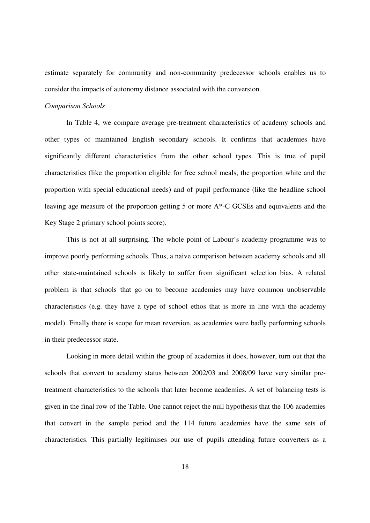estimate separately for community and non-community predecessor schools enables us to consider the impacts of autonomy distance associated with the conversion.

# *Comparison Schools*

In Table 4, we compare average pre-treatment characteristics of academy schools and other types of maintained English secondary schools. It confirms that academies have significantly different characteristics from the other school types. This is true of pupil characteristics (like the proportion eligible for free school meals, the proportion white and the proportion with special educational needs) and of pupil performance (like the headline school leaving age measure of the proportion getting 5 or more A\*-C GCSEs and equivalents and the Key Stage 2 primary school points score).

This is not at all surprising. The whole point of Labour's academy programme was to improve poorly performing schools. Thus, a naive comparison between academy schools and all other state-maintained schools is likely to suffer from significant selection bias. A related problem is that schools that go on to become academies may have common unobservable characteristics (e.g. they have a type of school ethos that is more in line with the academy model). Finally there is scope for mean reversion, as academies were badly performing schools in their predecessor state.

Looking in more detail within the group of academies it does, however, turn out that the schools that convert to academy status between 2002/03 and 2008/09 have very similar pretreatment characteristics to the schools that later become academies. A set of balancing tests is given in the final row of the Table. One cannot reject the null hypothesis that the 106 academies that convert in the sample period and the 114 future academies have the same sets of characteristics. This partially legitimises our use of pupils attending future converters as a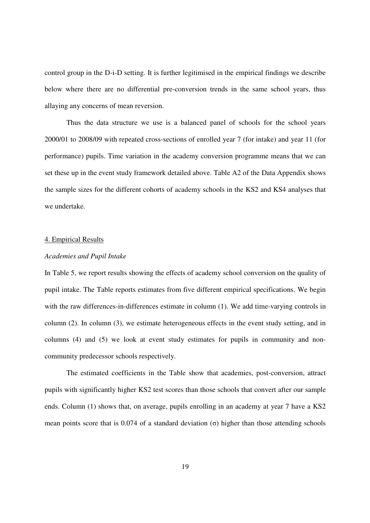control group in the D-i-D setting. It is further legitimised in the empirical findings we describe below where there are no differential pre-conversion trends in the same school years, thus allaying any concerns of mean reversion.

Thus the data structure we use is a balanced panel of schools for the school years 2000/01 to 2008/09 with repeated cross-sections of enrolled year 7 (for intake) and year 11 (for performance) pupils. Time variation in the academy conversion programme means that we can set these up in the event study framework detailed above. Table A2 of the Data Appendix shows the sample sizes for the different cohorts of academy schools in the KS2 and KS4 analyses that we undertake.

#### 4. Empirical Results

## *Academies and Pupil Intake*

In Table 5, we report results showing the effects of academy school conversion on the quality of pupil intake. The Table reports estimates from five different empirical specifications. We begin with the raw differences-in-differences estimate in column (1). We add time-varying controls in column (2). In column (3), we estimate heterogeneous effects in the event study setting, and in columns (4) and (5) we look at event study estimates for pupils in community and noncommunity predecessor schools respectively.

The estimated coefficients in the Table show that academies, post-conversion, attract pupils with significantly higher KS2 test scores than those schools that convert after our sample ends. Column (1) shows that, on average, pupils enrolling in an academy at year 7 have a KS2 mean points score that is 0.074 of a standard deviation  $(\sigma)$  higher than those attending schools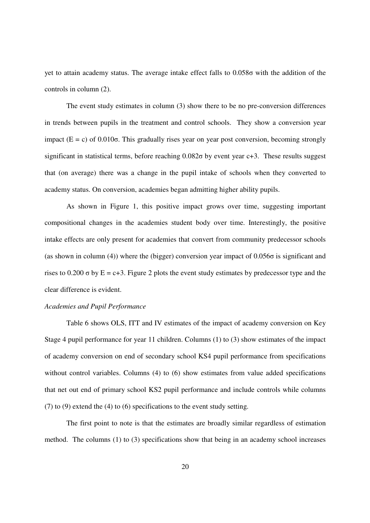yet to attain academy status. The average intake effect falls to 0.058σ with the addition of the controls in column (2).

The event study estimates in column (3) show there to be no pre-conversion differences in trends between pupils in the treatment and control schools. They show a conversion year impact  $(E = c)$  of 0.010 $\sigma$ . This gradually rises year on year post conversion, becoming strongly significant in statistical terms, before reaching 0.082σ by event year c+3. These results suggest that (on average) there was a change in the pupil intake of schools when they converted to academy status. On conversion, academies began admitting higher ability pupils.

As shown in Figure 1, this positive impact grows over time, suggesting important compositional changes in the academies student body over time. Interestingly, the positive intake effects are only present for academies that convert from community predecessor schools (as shown in column (4)) where the (bigger) conversion year impact of 0.056σ is significant and rises to 0.200  $\sigma$  by E = c+3. Figure 2 plots the event study estimates by predecessor type and the clear difference is evident.

## *Academies and Pupil Performance*

Table 6 shows OLS, ITT and IV estimates of the impact of academy conversion on Key Stage 4 pupil performance for year 11 children. Columns (1) to (3) show estimates of the impact of academy conversion on end of secondary school KS4 pupil performance from specifications without control variables. Columns (4) to (6) show estimates from value added specifications that net out end of primary school KS2 pupil performance and include controls while columns (7) to (9) extend the (4) to (6) specifications to the event study setting.

The first point to note is that the estimates are broadly similar regardless of estimation method. The columns (1) to (3) specifications show that being in an academy school increases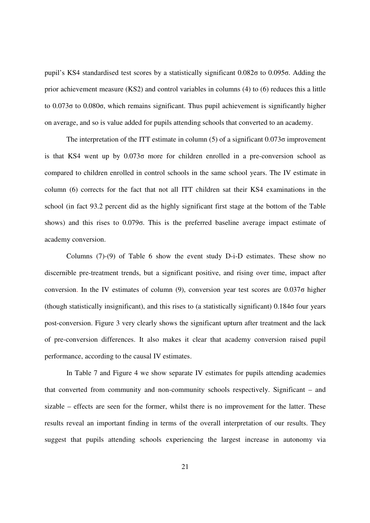pupil's KS4 standardised test scores by a statistically significant 0.082σ to 0.095σ. Adding the prior achievement measure (KS2) and control variables in columns (4) to (6) reduces this a little to 0.073σ to 0.080σ, which remains significant. Thus pupil achievement is significantly higher on average, and so is value added for pupils attending schools that converted to an academy.

The interpretation of the ITT estimate in column  $(5)$  of a significant  $0.073\sigma$  improvement is that KS4 went up by 0.073σ more for children enrolled in a pre-conversion school as compared to children enrolled in control schools in the same school years. The IV estimate in column (6) corrects for the fact that not all ITT children sat their KS4 examinations in the school (in fact 93.2 percent did as the highly significant first stage at the bottom of the Table shows) and this rises to 0.079σ. This is the preferred baseline average impact estimate of academy conversion.

Columns (7)-(9) of Table 6 show the event study D-i-D estimates. These show no discernible pre-treatment trends, but a significant positive, and rising over time, impact after conversion. In the IV estimates of column (9), conversion year test scores are  $0.037\sigma$  higher (though statistically insignificant), and this rises to (a statistically significant) 0.184σ four years post-conversion. Figure 3 very clearly shows the significant upturn after treatment and the lack of pre-conversion differences. It also makes it clear that academy conversion raised pupil performance, according to the causal IV estimates.

In Table 7 and Figure 4 we show separate IV estimates for pupils attending academies that converted from community and non-community schools respectively. Significant – and sizable – effects are seen for the former, whilst there is no improvement for the latter. These results reveal an important finding in terms of the overall interpretation of our results. They suggest that pupils attending schools experiencing the largest increase in autonomy via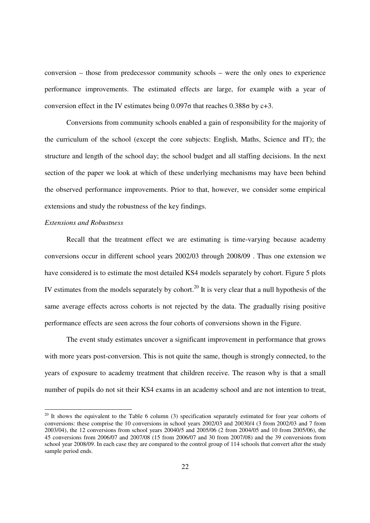conversion – those from predecessor community schools – were the only ones to experience performance improvements. The estimated effects are large, for example with a year of conversion effect in the IV estimates being  $0.097\sigma$  that reaches  $0.388\sigma$  by c+3.

Conversions from community schools enabled a gain of responsibility for the majority of the curriculum of the school (except the core subjects: English, Maths, Science and IT); the structure and length of the school day; the school budget and all staffing decisions. In the next section of the paper we look at which of these underlying mechanisms may have been behind the observed performance improvements. Prior to that, however, we consider some empirical extensions and study the robustness of the key findings.

## *Extensions and Robustness*

 $\overline{a}$ 

Recall that the treatment effect we are estimating is time-varying because academy conversions occur in different school years 2002/03 through 2008/09 . Thus one extension we have considered is to estimate the most detailed KS4 models separately by cohort. Figure 5 plots IV estimates from the models separately by cohort.<sup>20</sup> It is very clear that a null hypothesis of the same average effects across cohorts is not rejected by the data. The gradually rising positive performance effects are seen across the four cohorts of conversions shown in the Figure.

The event study estimates uncover a significant improvement in performance that grows with more years post-conversion. This is not quite the same, though is strongly connected, to the years of exposure to academy treatment that children receive. The reason why is that a small number of pupils do not sit their KS4 exams in an academy school and are not intention to treat,

 $20$  It shows the equivalent to the Table 6 column (3) specification separately estimated for four year cohorts of conversions: these comprise the 10 conversions in school years 2002/03 and 20030/4 (3 from 2002/03 and 7 from 2003/04), the 12 conversions from school years 20040/5 and 2005/06 (2 from 2004/05 and 10 from 2005/06), the 45 conversions from 2006/07 and 2007/08 (15 from 2006/07 and 30 from 2007/08) and the 39 conversions from school year 2008/09. In each case they are compared to the control group of 114 schools that convert after the study sample period ends.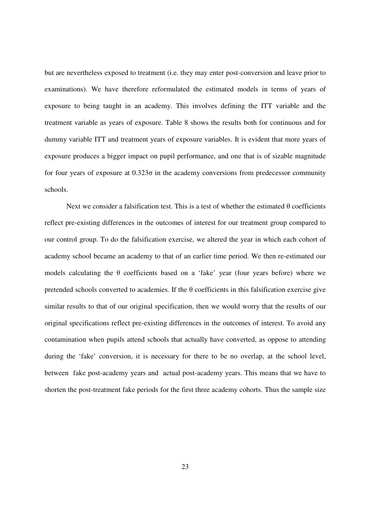but are nevertheless exposed to treatment (i.e. they may enter post-conversion and leave prior to examinations). We have therefore reformulated the estimated models in terms of years of exposure to being taught in an academy. This involves defining the ITT variable and the treatment variable as years of exposure. Table 8 shows the results both for continuous and for dummy variable ITT and treatment years of exposure variables. It is evident that more years of exposure produces a bigger impact on pupil performance, and one that is of sizable magnitude for four years of exposure at  $0.323\sigma$  in the academy conversions from predecessor community schools.

Next we consider a falsification test. This is a test of whether the estimated  $\theta$  coefficients reflect pre-existing differences in the outcomes of interest for our treatment group compared to our control group. To do the falsification exercise, we altered the year in which each cohort of academy school became an academy to that of an earlier time period. We then re-estimated our models calculating the  $\theta$  coefficients based on a 'fake' year (four years before) where we pretended schools converted to academies. If the  $\theta$  coefficients in this falsification exercise give similar results to that of our original specification, then we would worry that the results of our original specifications reflect pre-existing differences in the outcomes of interest. To avoid any contamination when pupils attend schools that actually have converted, as oppose to attending during the 'fake' conversion, it is necessary for there to be no overlap, at the school level, between fake post-academy years and actual post-academy years. This means that we have to shorten the post-treatment fake periods for the first three academy cohorts. Thus the sample size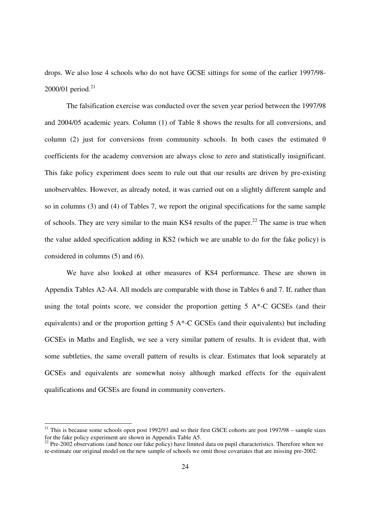drops. We also lose 4 schools who do not have GCSE sittings for some of the earlier 1997/98- 2000/01 period. $21$ 

The falsification exercise was conducted over the seven year period between the 1997/98 and 2004/05 academic years. Column (1) of Table 8 shows the results for all conversions, and column (2) just for conversions from community schools. In both cases the estimated  $\theta$ coefficients for the academy conversion are always close to zero and statistically insignificant. This fake policy experiment does seem to rule out that our results are driven by pre-existing unobservables. However, as already noted, it was carried out on a slightly different sample and so in columns (3) and (4) of Tables 7, we report the original specifications for the same sample of schools. They are very similar to the main KS4 results of the paper.<sup>22</sup> The same is true when the value added specification adding in KS2 (which we are unable to do for the fake policy) is considered in columns (5) and (6).

We have also looked at other measures of KS4 performance. These are shown in Appendix Tables A2-A4. All models are comparable with those in Tables 6 and 7. If, rather than using the total points score, we consider the proportion getting 5 A\*-C GCSEs (and their equivalents) and or the proportion getting  $5 A^*$ -C GCSEs (and their equivalents) but including GCSEs in Maths and English, we see a very similar pattern of results. It is evident that, with some subtleties, the same overall pattern of results is clear. Estimates that look separately at GCSEs and equivalents are somewhat noisy although marked effects for the equivalent qualifications and GCSEs are found in community converters.

-

<sup>&</sup>lt;sup>21</sup> This is because some schools open post 1992/93 and so their first GSCE cohorts are post 1997/98 – sample sizes for the fake policy experiment are shown in Appendix Table A5.

 $^{22}$  Pre-2002 observations (and hence our fake policy) have limited data on pupil characteristics. Therefore when we re-estimate our original model on the new sample of schools we omit those covariates that are missing pre-2002.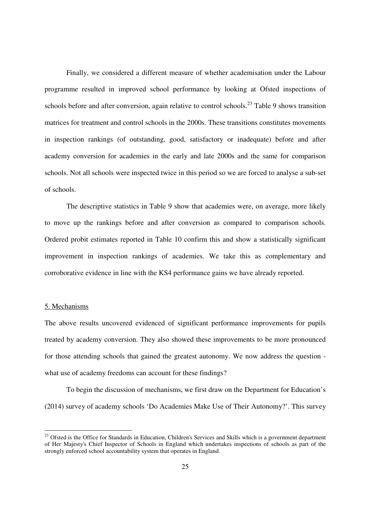Finally, we considered a different measure of whether academisation under the Labour programme resulted in improved school performance by looking at Ofsted inspections of schools before and after conversion, again relative to control schools.<sup>23</sup> Table 9 shows transition matrices for treatment and control schools in the 2000s. These transitions constitutes movements in inspection rankings (of outstanding, good, satisfactory or inadequate) before and after academy conversion for academies in the early and late 2000s and the same for comparison schools. Not all schools were inspected twice in this period so we are forced to analyse a sub-set of schools.

The descriptive statistics in Table 9 show that academies were, on average, more likely to move up the rankings before and after conversion as compared to comparison schools. Ordered probit estimates reported in Table 10 confirm this and show a statistically significant improvement in inspection rankings of academies. We take this as complementary and corroborative evidence in line with the KS4 performance gains we have already reported.

#### 5. Mechanisms

 $\overline{a}$ 

The above results uncovered evidenced of significant performance improvements for pupils treated by academy conversion. They also showed these improvements to be more pronounced for those attending schools that gained the greatest autonomy. We now address the question what use of academy freedoms can account for these findings?

 To begin the discussion of mechanisms, we first draw on the Department for Education's (2014) survey of academy schools 'Do Academies Make Use of Their Autonomy?'. This survey

<sup>&</sup>lt;sup>23</sup> Ofsted is the Office for Standards in Education, Children's Services and Skills which is a government department of Her Majesty's Chief Inspector of Schools in England which undertakes inspections of schools as part of the strongly enforced school accountability system that operates in England.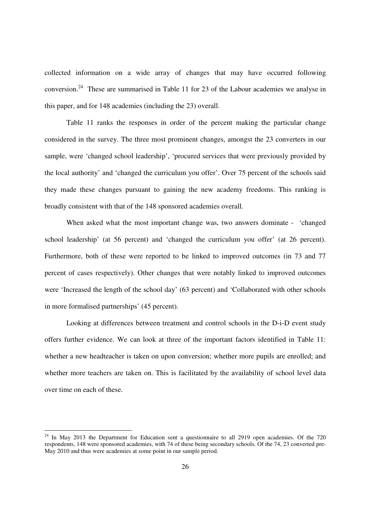collected information on a wide array of changes that may have occurred following conversion.<sup>24</sup> These are summarised in Table 11 for 23 of the Labour academies we analyse in this paper, and for 148 academies (including the 23) overall.

 Table 11 ranks the responses in order of the percent making the particular change considered in the survey. The three most prominent changes, amongst the 23 converters in our sample, were 'changed school leadership', 'procured services that were previously provided by the local authority' and 'changed the curriculum you offer'. Over 75 percent of the schools said they made these changes pursuant to gaining the new academy freedoms. This ranking is broadly consistent with that of the 148 sponsored academies overall.

 When asked what the most important change was, two answers dominate - 'changed school leadership' (at 56 percent) and 'changed the curriculum you offer' (at 26 percent). Furthermore, both of these were reported to be linked to improved outcomes (in 73 and 77 percent of cases respectively). Other changes that were notably linked to improved outcomes were 'Increased the length of the school day' (63 percent) and 'Collaborated with other schools in more formalised partnerships' (45 percent).

 Looking at differences between treatment and control schools in the D-i-D event study offers further evidence. We can look at three of the important factors identified in Table 11: whether a new headteacher is taken on upon conversion; whether more pupils are enrolled; and whether more teachers are taken on. This is facilitated by the availability of school level data over time on each of these.

 $\overline{a}$ 

 $24$  In May 2013 the Department for Education sent a questionnaire to all 2919 open academies. Of the 720 respondents, 148 were sponsored academies, with 74 of these being secondary schools. Of the 74, 23 converted pre-May 2010 and thus were academies at some point in our sample period.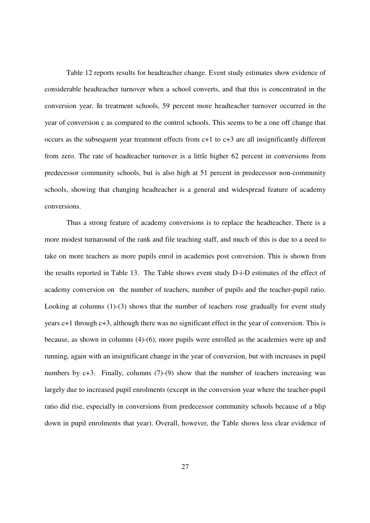Table 12 reports results for headteacher change. Event study estimates show evidence of considerable headteacher turnover when a school converts, and that this is concentrated in the conversion year. In treatment schools, 59 percent more headteacher turnover occurred in the year of conversion c as compared to the control schools. This seems to be a one off change that occurs as the subsequent year treatment effects from c+1 to c+3 are all insignificantly different from zero. The rate of headteacher turnover is a little higher 62 percent in conversions from predecessor community schools, but is also high at 51 percent in predecessor non-community schools, showing that changing headteacher is a general and widespread feature of academy conversions.

Thus a strong feature of academy conversions is to replace the headteacher. There is a more modest turnaround of the rank and file teaching staff, and much of this is due to a need to take on more teachers as more pupils enrol in academies post conversion. This is shown from the results reported in Table 13. The Table shows event study D-i-D estimates of the effect of academy conversion on the number of teachers, number of pupils and the teacher-pupil ratio. Looking at columns (1)-(3) shows that the number of teachers rose gradually for event study years c+1 through c+3, although there was no significant effect in the year of conversion. This is because, as shown in columns (4)-(6), more pupils were enrolled as the academies were up and running, again with an insignificant change in the year of conversion, but with increases in pupil numbers by  $c+3$ . Finally, columns (7)-(9) show that the number of teachers increasing was largely due to increased pupil enrolments (except in the conversion year where the teacher-pupil ratio did rise, especially in conversions from predecessor community schools because of a blip down in pupil enrolments that year). Overall, however, the Table shows less clear evidence of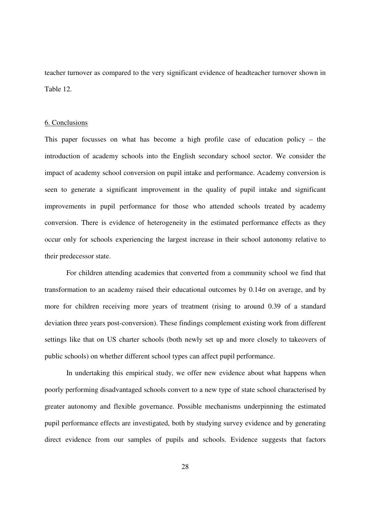teacher turnover as compared to the very significant evidence of headteacher turnover shown in Table 12.

## 6. Conclusions

This paper focusses on what has become a high profile case of education policy – the introduction of academy schools into the English secondary school sector. We consider the impact of academy school conversion on pupil intake and performance. Academy conversion is seen to generate a significant improvement in the quality of pupil intake and significant improvements in pupil performance for those who attended schools treated by academy conversion. There is evidence of heterogeneity in the estimated performance effects as they occur only for schools experiencing the largest increase in their school autonomy relative to their predecessor state.

For children attending academies that converted from a community school we find that transformation to an academy raised their educational outcomes by  $0.14\sigma$  on average, and by more for children receiving more years of treatment (rising to around 0.39 of a standard deviation three years post-conversion). These findings complement existing work from different settings like that on US charter schools (both newly set up and more closely to takeovers of public schools) on whether different school types can affect pupil performance.

In undertaking this empirical study, we offer new evidence about what happens when poorly performing disadvantaged schools convert to a new type of state school characterised by greater autonomy and flexible governance. Possible mechanisms underpinning the estimated pupil performance effects are investigated, both by studying survey evidence and by generating direct evidence from our samples of pupils and schools. Evidence suggests that factors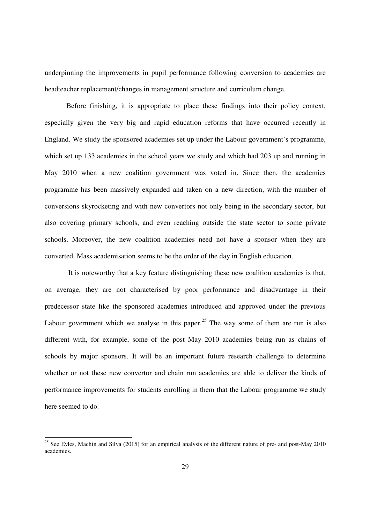underpinning the improvements in pupil performance following conversion to academies are headteacher replacement/changes in management structure and curriculum change.

 Before finishing, it is appropriate to place these findings into their policy context, especially given the very big and rapid education reforms that have occurred recently in England. We study the sponsored academies set up under the Labour government's programme, which set up 133 academies in the school years we study and which had 203 up and running in May 2010 when a new coalition government was voted in. Since then, the academies programme has been massively expanded and taken on a new direction, with the number of conversions skyrocketing and with new convertors not only being in the secondary sector, but also covering primary schools, and even reaching outside the state sector to some private schools. Moreover, the new coalition academies need not have a sponsor when they are converted. Mass academisation seems to be the order of the day in English education.

 It is noteworthy that a key feature distinguishing these new coalition academies is that, on average, they are not characterised by poor performance and disadvantage in their predecessor state like the sponsored academies introduced and approved under the previous Labour government which we analyse in this paper.<sup>25</sup> The way some of them are run is also different with, for example, some of the post May 2010 academies being run as chains of schools by major sponsors. It will be an important future research challenge to determine whether or not these new convertor and chain run academies are able to deliver the kinds of performance improvements for students enrolling in them that the Labour programme we study here seemed to do.

 $\overline{a}$ 

<sup>&</sup>lt;sup>25</sup> See Eyles, Machin and Silva (2015) for an empirical analysis of the different nature of pre- and post-May 2010 academies.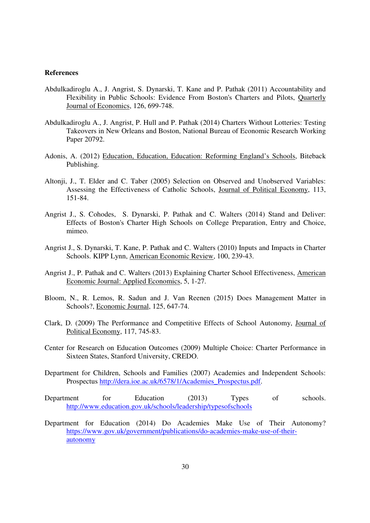## **References**

- Abdulkadiroglu A., J. Angrist, S. Dynarski, T. Kane and P. Pathak (2011) Accountability and Flexibility in Public Schools: Evidence From Boston's Charters and Pilots, Quarterly Journal of Economics, 126, 699-748.
- Abdulkadiroglu A., J. Angrist, P. Hull and P. Pathak (2014) Charters Without Lotteries: Testing Takeovers in New Orleans and Boston, National Bureau of Economic Research Working Paper 20792.
- Adonis, A. (2012) Education, Education, Education: Reforming England's Schools, Biteback Publishing.
- Altonji, J., T. Elder and C. Taber (2005) Selection on Observed and Unobserved Variables: Assessing the Effectiveness of Catholic Schools, Journal of Political Economy, 113, 151-84.
- Angrist J., S. Cohodes, S. Dynarski, P. Pathak and C. Walters (2014) Stand and Deliver: Effects of Boston's Charter High Schools on College Preparation, Entry and Choice, mimeo.
- Angrist J., S. Dynarski, T. Kane, P. Pathak and C. Walters (2010) Inputs and Impacts in Charter Schools. KIPP Lynn, American Economic Review, 100, 239-43.
- Angrist J., P. Pathak and C. Walters (2013) Explaining Charter School Effectiveness, American Economic Journal: Applied Economics, 5, 1-27.
- Bloom, N., R. Lemos, R. Sadun and J. Van Reenen (2015) Does Management Matter in Schools?, Economic Journal, 125, 647-74.
- Clark, D. (2009) The Performance and Competitive Effects of School Autonomy, Journal of Political Economy, 117, 745-83.
- Center for Research on Education Outcomes (2009) Multiple Choice: Charter Performance in Sixteen States, Stanford University, CREDO.
- Department for Children, Schools and Families (2007) Academies and Independent Schools: Prospectus http://dera.ioe.ac.uk/6578/1/Academies\_Prospectus.pdf.
- Department for Education (2013) Types of schools. http://www.education.gov.uk/schools/leadership/typesofschools
- Department for Education (2014) Do Academies Make Use of Their Autonomy? https://www.gov.uk/government/publications/do-academies-make-use-of-theirautonomy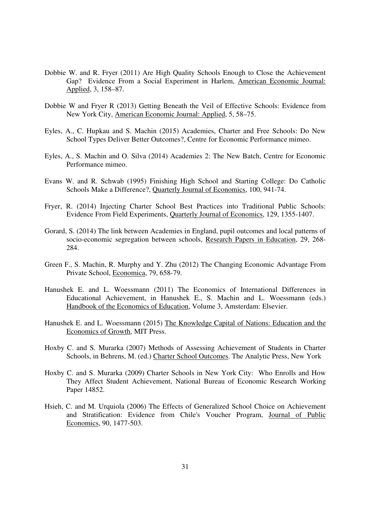- Dobbie W. and R. Fryer (2011) Are High Quality Schools Enough to Close the Achievement Gap? Evidence From a Social Experiment in Harlem, American Economic Journal: Applied, 3, 158–87.
- Dobbie W and Fryer R (2013) Getting Beneath the Veil of Effective Schools: Evidence from New York City, American Economic Journal: Applied, 5, 58–75.
- Eyles, A., C. Hupkau and S. Machin (2015) Academies, Charter and Free Schools: Do New School Types Deliver Better Outcomes?, Centre for Economic Performance mimeo.
- Eyles, A., S. Machin and O. Silva (2014) Academies 2: The New Batch, Centre for Economic Performance mimeo.
- Evans W. and R. Schwab (1995) Finishing High School and Starting College: Do Catholic Schools Make a Difference?, Quarterly Journal of Economics, 100, 941-74.
- Fryer, R. (2014) Injecting Charter School Best Practices into Traditional Public Schools: Evidence From Field Experiments, Quarterly Journal of Economics, 129, 1355-1407.
- Gorard, S. (2014) The link between Academies in England, pupil outcomes and local patterns of socio-economic segregation between schools, Research Papers in Education, 29, 268- 284.
- Green F., S. Machin, R. Murphy and Y. Zhu (2012) The Changing Economic Advantage From Private School, Economica, 79, 658-79.
- Hanushek E. and L. Woessmann (2011) The Economics of International Differences in Educational Achievement, in Hanushek E., S. Machin and L. Woessmann (eds.) Handbook of the Economics of Education, Volume 3, Amsterdam: Elsevier.
- Hanushek E. and L. Woessmann (2015) The Knowledge Capital of Nations: Education and the Economics of Growth, MIT Press.
- Hoxby C. and S. Murarka (2007) Methods of Assessing Achievement of Students in Charter Schools, in Behrens, M. (ed.) Charter School Outcomes. The Analytic Press, New York
- Hoxby C. and S. Murarka (2009) Charter Schools in New York City: Who Enrolls and How They Affect Student Achievement, National Bureau of Economic Research Working Paper 14852.
- Hsieh, C. and M. Urquiola (2006) The Effects of Generalized School Choice on Achievement and Stratification: Evidence from Chile's Voucher Program, Journal of Public Economics, 90, 1477-503.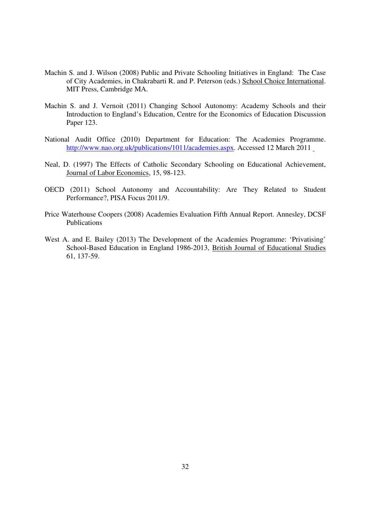- Machin S. and J. Wilson (2008) Public and Private Schooling Initiatives in England: The Case of City Academies, in Chakrabarti R. and P. Peterson (eds.) School Choice International. MIT Press, Cambridge MA.
- Machin S. and J. Vernoit (2011) Changing School Autonomy: Academy Schools and their Introduction to England's Education, Centre for the Economics of Education Discussion Paper 123.
- National Audit Office (2010) Department for Education: The Academies Programme. http://www.nao.org.uk/publications/1011/academies.aspx. Accessed 12 March 2011
- Neal, D. (1997) The Effects of Catholic Secondary Schooling on Educational Achievement, Journal of Labor Economics, 15, 98-123.
- OECD (2011) School Autonomy and Accountability: Are They Related to Student Performance?, PISA Focus 2011/9.
- Price Waterhouse Coopers (2008) Academies Evaluation Fifth Annual Report. Annesley, DCSF Publications
- West A. and E. Bailey (2013) The Development of the Academies Programme: 'Privatising' School-Based Education in England 1986-2013, British Journal of Educational Studies 61, 137-59.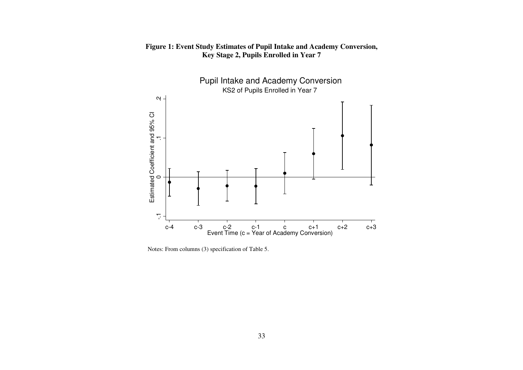

# **Figure 1: Event Study Estimates of Pupil Intake and Academy Conversion, Key Stage 2, Pupils Enrolled in Year 7**

Notes: From columns (3) specification of Table 5.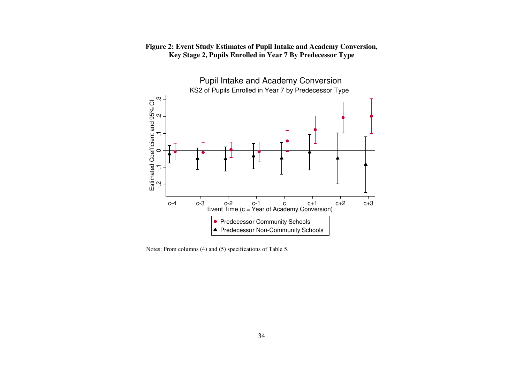

# **Figure 2: Event Study Estimates of Pupil Intake and Academy Conversion, Key Stage 2, Pupils Enrolled in Year 7 By Predecessor Type**

Notes: From columns (4) and (5) specifications of Table 5.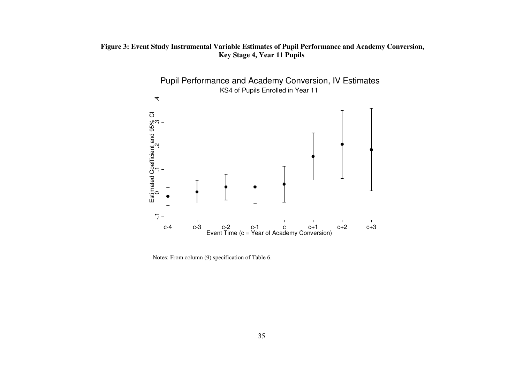# **Figure 3: Event Study Instrumental Variable Estimates of Pupil Performance and Academy Conversion, Key Stage 4, Year 11 Pupils**



Notes: From column (9) specification of Table 6.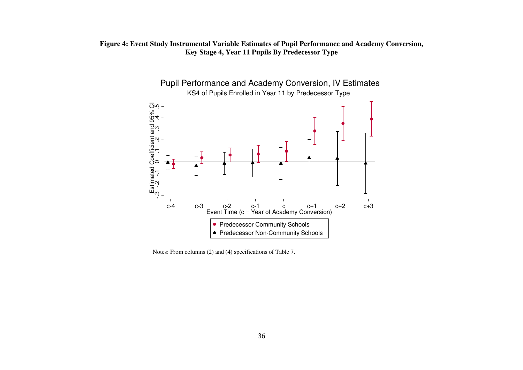# **Figure 4: Event Study Instrumental Variable Estimates of Pupil Performance and Academy Conversion, Key Stage 4, Year 11 Pupils By Predecessor Type**



Notes: From columns (2) and (4) specifications of Table 7.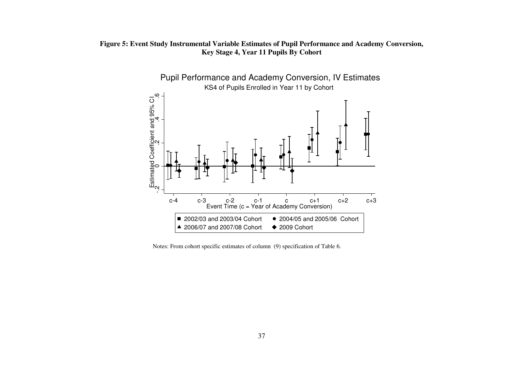# **Figure 5: Event Study Instrumental Variable Estimates of Pupil Performance and Academy Conversion, Key Stage 4, Year 11 Pupils By Cohort**



Notes: From cohort specific estimates of column (9) specification of Table 6.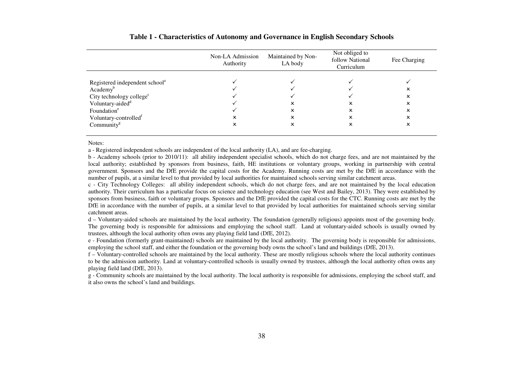|                                            | Non-LA Admission<br>Authority | Maintained by Non-<br>LA body | Not obliged to<br>follow National<br>Curriculum | Fee Charging |
|--------------------------------------------|-------------------------------|-------------------------------|-------------------------------------------------|--------------|
|                                            |                               |                               |                                                 |              |
| Registered independent school <sup>a</sup> |                               |                               |                                                 |              |
| Academy <sup>b</sup>                       |                               |                               |                                                 |              |
| City technology college <sup>c</sup>       |                               |                               |                                                 |              |
| Voluntary-aided <sup>d</sup>               |                               | x                             |                                                 |              |
| Foundation <sup>e</sup>                    |                               |                               |                                                 |              |
| Voluntary-controlled <sup>t</sup>          |                               | x                             |                                                 |              |
| Community $g$                              |                               |                               | ×                                               |              |
|                                            |                               |                               |                                                 |              |

#### **Table 1 - Characteristics of Autonomy and Governance in English Secondary Schools**

Notes:

a - Registered independent schools are independent of the local authority (LA), and are fee-charging.

 b - Academy schools (prior to 2010/11): all ability independent specialist schools, which do not charge fees, and are not maintained by the local authority; established by sponsors from business, faith, HE institutions or voluntary groups, working in partnership with central government. Sponsors and the DfE provide the capital costs for the Academy. Running costs are met by the DfE in accordance with the number of pupils, at a similar level to that provided by local authorities for maintained schools serving similar catchment areas.

 c - City Technology Colleges: all ability independent schools, which do not charge fees, and are not maintained by the local education authority. Their curriculum has a particular focus on science and technology education (see West and Bailey, 2013). They were established by sponsors from business, faith or voluntary groups. Sponsors and the DfE provided the capital costs for the CTC. Running costs are met by the DfE in accordance with the number of pupils, at a similar level to that provided by local authorities for maintained schools serving similar catchment areas.

d – Voluntary-aided schools are maintained by the local authority. The foundation (generally religious) appoints most of the governing body. The governing body is responsible for admissions and employing the school staff. Land at voluntary-aided schools is usually owned by trustees, although the local authority often owns any playing field land (DfE, 2012).

 e - Foundation (formerly grant-maintained) schools are maintained by the local authority. The governing body is responsible for admissions, employing the school staff, and either the foundation or the governing body owns the school's land and buildings (DfE, 2013).

 f – Voluntary-controlled schools are maintained by the local authority. These are mostly religious schools where the local authority continues to be the admission authority. Land at voluntary-controlled schools is usually owned by trustees, although the local authority often owns any playing field land (DfE, 2013).

 g - Community schools are maintained by the local authority. The local authority is responsible for admissions, employing the school staff, and it also owns the school's land and buildings.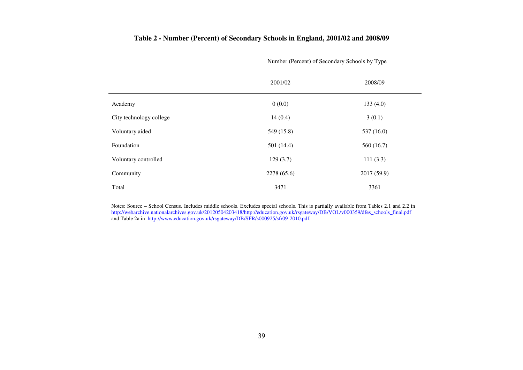|                         | Number (Percent) of Secondary Schools by Type |             |  |  |  |
|-------------------------|-----------------------------------------------|-------------|--|--|--|
|                         | 2001/02                                       | 2008/09     |  |  |  |
| Academy                 | 0(0.0)                                        | 133(4.0)    |  |  |  |
| City technology college | 14(0.4)                                       | 3(0.1)      |  |  |  |
| Voluntary aided         | 549 (15.8)                                    | 537 (16.0)  |  |  |  |
| Foundation              | 501 (14.4)                                    | 560(16.7)   |  |  |  |
| Voluntary controlled    | 129(3.7)                                      | 111(3.3)    |  |  |  |
| Community               | 2278 (65.6)                                   | 2017 (59.9) |  |  |  |
| Total                   | 3471                                          | 3361        |  |  |  |

# **Table 2 - Number (Percent) of Secondary Schools in England, 2001/02 and 2008/09**

Notes: Source – School Census. Includes middle schools. Excludes special schools. This is partially available from Tables 2.1 and 2.2 in http://webarchive.nationalarchives.gov.uk/20120504203418/http://education.gov.uk/rsgateway/DB/VOL/v000359/dfes\_schools\_final.pdf<br>and Table 2a in\_<u>http://www.education.gov.uk/rsgateway/DB/SFR/s000925/sfr</u>09-2010.pdf.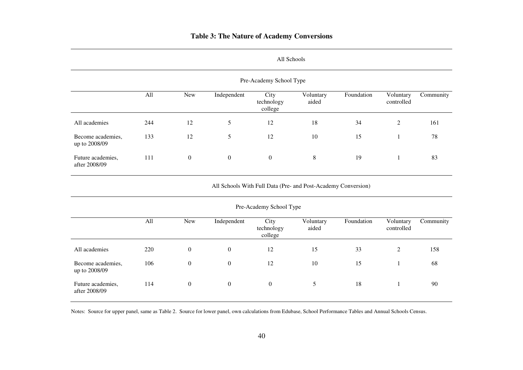# **Table 3: The Nature of Academy Conversions**

| Pre-Academy School Type            |     |              |                |                               |                    |            |                         |           |
|------------------------------------|-----|--------------|----------------|-------------------------------|--------------------|------------|-------------------------|-----------|
|                                    | All | <b>New</b>   | Independent    | City<br>technology<br>college | Voluntary<br>aided | Foundation | Voluntary<br>controlled | Community |
| All academies                      | 244 | 12           | 5              | 12                            | 18                 | 34         | 2                       | 161       |
| Become academies,<br>up to 2008/09 | 133 | 12           | 5              | 12                            | 10                 | 15         |                         | 78        |
| Future academies,<br>after 2008/09 | 111 | $\mathbf{0}$ | $\overline{0}$ | $\theta$                      | $8\,$              | 19         |                         | 83        |

#### All Schools

All Schools With Full Data (Pre- and Post-Academy Conversion)

| Pre-Academy School Type            |     |                  |             |                               |                    |            |                         |           |
|------------------------------------|-----|------------------|-------------|-------------------------------|--------------------|------------|-------------------------|-----------|
|                                    | All | New              | Independent | City<br>technology<br>college | Voluntary<br>aided | Foundation | Voluntary<br>controlled | Community |
| All academies                      | 220 | $\overline{0}$   | $\theta$    | 12                            | 15                 | 33         | 2                       | 158       |
| Become academies,<br>up to 2008/09 | 106 | $\overline{0}$   | $\theta$    | 12                            | 10                 | 15         |                         | 68        |
| Future academies,<br>after 2008/09 | 114 | $\boldsymbol{0}$ | $\theta$    | $\theta$                      | 5                  | 18         |                         | 90        |

Notes: Source for upper panel, same as Table 2. Source for lower panel, own calculations from Edubase, School Performance Tables and Annual Schools Census.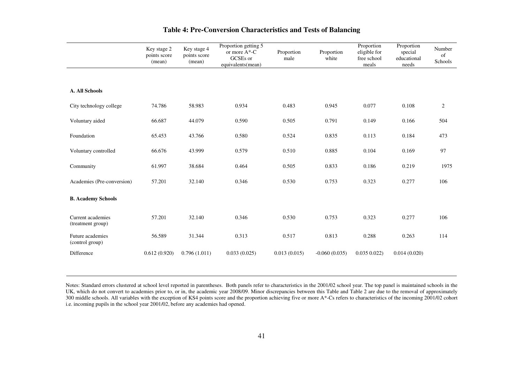|                                        | Key stage 2<br>points score<br>(mean) | Key stage 4<br>points score<br>(mean) | Proportion getting 5<br>or more $A^*$ -C<br>GCSEs or<br>equivalents(mean) | Proportion<br>male | Proportion<br>white | Proportion<br>eligible for<br>free school<br>meals | Proportion<br>special<br>educational<br>needs | Number<br>of<br>Schools |
|----------------------------------------|---------------------------------------|---------------------------------------|---------------------------------------------------------------------------|--------------------|---------------------|----------------------------------------------------|-----------------------------------------------|-------------------------|
|                                        |                                       |                                       |                                                                           |                    |                     |                                                    |                                               |                         |
| <b>A. All Schools</b>                  |                                       |                                       |                                                                           |                    |                     |                                                    |                                               |                         |
| City technology college                | 74.786                                | 58.983                                | 0.934                                                                     | 0.483              | 0.945               | 0.077                                              | 0.108                                         | $\boldsymbol{2}$        |
| Voluntary aided                        | 66.687                                | 44.079                                | 0.590                                                                     | 0.505              | 0.791               | 0.149                                              | 0.166                                         | 504                     |
| Foundation                             | 65.453                                | 43.766                                | 0.580                                                                     | 0.524              | 0.835               | 0.113                                              | 0.184                                         | 473                     |
| Voluntary controlled                   | 66.676                                | 43.999                                | 0.579                                                                     | 0.510              | 0.885               | 0.104                                              | 0.169                                         | 97                      |
| Community                              | 61.997                                | 38.684                                | 0.464                                                                     | 0.505              | 0.833               | 0.186                                              | 0.219                                         | 1975                    |
| Academies (Pre-conversion)             | 57.201                                | 32.140                                | 0.346                                                                     | 0.530              | 0.753               | 0.323                                              | 0.277                                         | 106                     |
| <b>B. Academy Schools</b>              |                                       |                                       |                                                                           |                    |                     |                                                    |                                               |                         |
| Current academies<br>(treatment group) | 57.201                                | 32.140                                | 0.346                                                                     | 0.530              | 0.753               | 0.323                                              | 0.277                                         | 106                     |
| Future academies<br>(control group)    | 56.589                                | 31.344                                | 0.313                                                                     | 0.517              | 0.813               | 0.288                                              | 0.263                                         | 114                     |
| Difference                             | 0.612(0.920)                          | 0.796(1.011)                          | 0.033(0.025)                                                              | 0.013(0.015)       | $-0.060(0.035)$     | 0.0350.022                                         | 0.014(0.020)                                  |                         |

# **Table 4: Pre-Conversion Characteristics and Tests of Balancing**

Notes: Standard errors clustered at school level reported in parentheses. Both panels refer to characteristics in the 2001/02 school year. The top panel is maintained schools in the UK, which do not convert to academies prior to, or in, the academic year 2008/09. Minor discrepancies between this Table and Table 2 are due to the removal of approximately 300 middle schools. All variables with the exception of KS4 points score and the proportion achieving five or more A\*-Cs refers to characteristics of the incoming 2001/02 cohort i.e. incoming pupils in the school year 2001/02, before any academies had opened.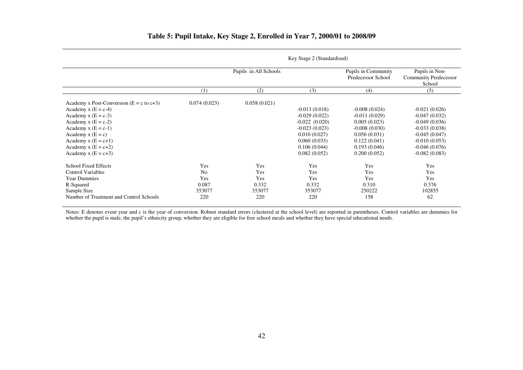|                                                | Key Stage 2 (Standardised) |                       |                                           |                                                          |                 |  |  |
|------------------------------------------------|----------------------------|-----------------------|-------------------------------------------|----------------------------------------------------------|-----------------|--|--|
|                                                |                            | Pupils in All Schools | Pupils in Community<br>Predecessor School | Pupils in Non-<br><b>Community Predecessor</b><br>School |                 |  |  |
|                                                | (1)                        | (2)                   | (3)                                       | (4)                                                      | (5)             |  |  |
| Academy x Post-Conversion ( $E = c$ to $c+3$ ) | 0.074(0.023)               | 0.058(0.021)          |                                           |                                                          |                 |  |  |
| Academy x $(E = c-4)$                          |                            |                       | $-0.013(0.018)$                           | $-0.008(0.024)$                                          | $-0.021(0.026)$ |  |  |
| Academy $x(E = c-3)$                           |                            |                       | $-0.029(0.022)$                           | $-0.011(0.029)$                                          | $-0.047(0.032)$ |  |  |
| Academy $x(E = c-2)$                           |                            |                       | $-0.022(0.020)$                           | 0.005(0.023)                                             | $-0.049(0.036)$ |  |  |
| Academy $x(E = c-1)$                           |                            |                       | $-0.023(0.023)$                           | $-0.008(0.030)$                                          | $-0.033(0.038)$ |  |  |
| Academy $x(E = c)$                             |                            |                       | 0.010(0.027)                              | 0.056(0.031)                                             | $-0.045(0.047)$ |  |  |
| Academy $x(E = c+1)$                           |                            |                       | 0.060(0.033)                              | 0.122(0.041)                                             | $-0.010(0.053)$ |  |  |
| Academy $x(E = c+2)$                           |                            |                       | 0.106(0.044)                              | 0.193(0.046)                                             | $-0.046(0.076)$ |  |  |
| Academy $x(E = c+3)$                           |                            |                       | 0.082(0.052)                              | 0.200(0.052)                                             | $-0.082(0.083)$ |  |  |
| <b>School Fixed Effects</b>                    | Yes                        | Yes                   | Yes                                       | Yes                                                      | Yes             |  |  |
| <b>Control Variables</b>                       | N <sub>0</sub>             | Yes                   | Yes                                       | Yes                                                      | Yes             |  |  |
| <b>Year Dummies</b>                            | Yes                        | Yes                   | Yes                                       | Yes                                                      | Yes             |  |  |
| R-Squared                                      | 0.087                      | 0.332                 | 0.332                                     | 0.310                                                    | 0.376           |  |  |
| Sample Size                                    | 353077                     | 353077                | 353077                                    | 250222                                                   | 102855          |  |  |
| Number of Treatment and Control Schools        | 220                        | 220                   | 220                                       | 158                                                      | 62              |  |  |
|                                                |                            |                       |                                           |                                                          |                 |  |  |

# **Table 5: Pupil Intake, Key Stage 2, Enrolled in Year 7, 2000/01 to 2008/09**

 $\mathbf{v}$   $\alpha$   $\alpha$   $\alpha$   $\alpha$   $\alpha$ 

Notes: E denotes event year and c is the year of conversion. Robust standard errors (clustered at the school level) are reported in parentheses. Control variables are dummies for whether the pupil is male, the pupil's ethnicity group, whether they are eligible for free school meals and whether they have special educational needs.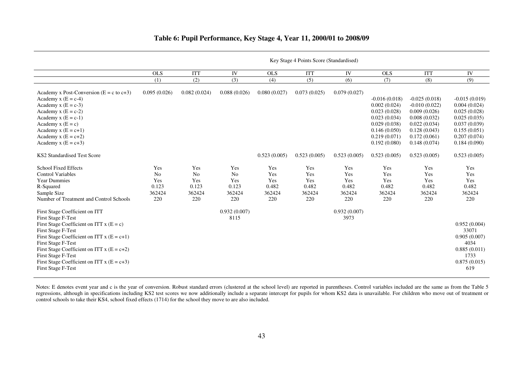|  | Table 6: Pupil Performance, Key Stage 4, Year 11, 2000/01 to 2008/09 |
|--|----------------------------------------------------------------------|
|  |                                                                      |

 $\overline{a}$  $\overline{\phantom{a}}$ 

|                                                                 | Key Stage 4 Points Score (Standardised) |                |                      |              |              |                      |                 |                 |                       |
|-----------------------------------------------------------------|-----------------------------------------|----------------|----------------------|--------------|--------------|----------------------|-----------------|-----------------|-----------------------|
|                                                                 | <b>OLS</b>                              | <b>ITT</b>     | IV                   | <b>OLS</b>   | <b>ITT</b>   | IV                   | <b>OLS</b>      | <b>ITT</b>      | IV                    |
|                                                                 | (1)                                     | (2)            | (3)                  | (4)          | (5)          | (6)                  | (7)             | (8)             | (9)                   |
| Academy x Post-Conversion ( $E = c$ to $c+3$ )                  | 0.095(0.026)                            | 0.082(0.024)   | 0.088(0.026)         | 0.080(0.027) | 0.073(0.025) | 0.079(0.027)         |                 |                 |                       |
| Academy x $(E = c-4)$                                           |                                         |                |                      |              |              |                      | $-0.016(0.018)$ | $-0.025(0.018)$ | $-0.015(0.019)$       |
| Academy x $(E = c-3)$                                           |                                         |                |                      |              |              |                      | 0.002(0.024)    | $-0.010(0.022)$ | 0.004(0.024)          |
| Academy x $(E = c-2)$                                           |                                         |                |                      |              |              |                      | 0.023(0.028)    | 0.009(0.026)    | 0.025(0.028)          |
| Academy x $(E = c-1)$                                           |                                         |                |                      |              |              |                      | 0.023(0.034)    | 0.008(0.032)    | 0.025(0.035)          |
| Academy $x(E = c)$                                              |                                         |                |                      |              |              |                      | 0.029(0.038)    | 0.022(0.034)    | 0.037(0.039)          |
| Academy $x(E = c+1)$                                            |                                         |                |                      |              |              |                      | 0.146(0.050)    | 0.128(0.043)    | 0.155(0.051)          |
| Academy x $(E = c+2)$                                           |                                         |                |                      |              |              |                      | 0.219(0.071)    | 0.172(0.061)    | 0.207(0.074)          |
| Academy x $(E = c+3)$                                           |                                         |                |                      |              |              |                      | 0.192(0.080)    | 0.148(0.074)    | 0.184(0.090)          |
| <b>KS2 Standardised Test Score</b>                              |                                         |                |                      | 0.523(0.005) | 0.523(0.005) | 0.523(0.005)         | 0.523(0.005)    | 0.523(0.005)    | 0.523(0.005)          |
| <b>School Fixed Effects</b>                                     | Yes                                     | Yes            | Yes                  | Yes          | Yes          | Yes                  | Yes             | Yes             | Yes                   |
| <b>Control Variables</b>                                        | N <sub>o</sub>                          | N <sub>0</sub> | N <sub>o</sub>       | Yes          | Yes          | Yes                  | Yes             | Yes             | Yes                   |
| <b>Year Dummies</b>                                             | Yes                                     | Yes            | Yes                  | Yes          | Yes          | Yes                  | Yes             | Yes             | Yes                   |
| R-Squared                                                       | 0.123                                   | 0.123          | 0.123                | 0.482        | 0.482        | 0.482                | 0.482           | 0.482           | 0.482                 |
| Sample Size                                                     | 362424                                  | 362424         | 362424               | 362424       | 362424       | 362424               | 362424          | 362424          | 362424                |
| Number of Treatment and Control Schools                         | 220                                     | 220            | 220                  | 220          | 220          | 220                  | 220             | 220             | 220                   |
| <b>First Stage Coefficient on ITT</b><br>First Stage F-Test     |                                         |                | 0.932(0.007)<br>8115 |              |              | 0.932(0.007)<br>3973 |                 |                 |                       |
| First Stage Coefficient on ITT $x(E = c)$<br>First Stage F-Test |                                         |                |                      |              |              |                      |                 |                 | 0.952(0.004)<br>33071 |
| First Stage Coefficient on ITT $x(E = c+1)$                     |                                         |                |                      |              |              |                      |                 |                 | 0.905(0.007)          |
| First Stage F-Test                                              |                                         |                |                      |              |              |                      |                 |                 | 4034                  |
| First Stage Coefficient on ITT $x(E = c+2)$                     |                                         |                |                      |              |              |                      |                 |                 | 0.885(0.011)          |
| <b>First Stage F-Test</b>                                       |                                         |                |                      |              |              |                      |                 |                 | 1733                  |
| First Stage Coefficient on ITT $x(E = c+3)$                     |                                         |                |                      |              |              |                      |                 |                 | 0.875(0.015)          |
| First Stage F-Test                                              |                                         |                |                      |              |              |                      |                 |                 | 619                   |

Notes: E denotes event year and c is the year of conversion. Robust standard errors (clustered at the school level) are reported in parentheses. Control variables included are the same as from the Table 5 regressions, alth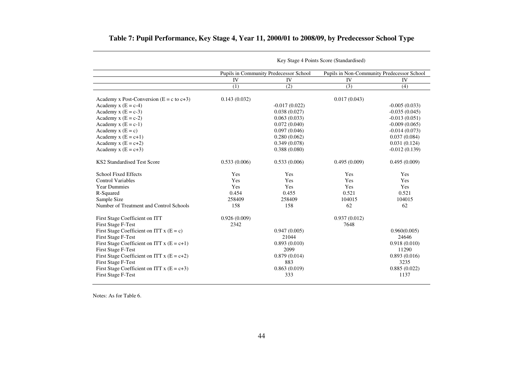|                                                | Key Stage 4 Points Score (Standardised) |                                        |                                            |                 |  |  |
|------------------------------------------------|-----------------------------------------|----------------------------------------|--------------------------------------------|-----------------|--|--|
|                                                |                                         | Pupils in Community Predecessor School | Pupils in Non-Community Predecessor School |                 |  |  |
|                                                | $\overline{IV}$                         | <b>IV</b>                              | <b>IV</b>                                  | <b>IV</b>       |  |  |
|                                                | (1)                                     | (2)                                    | (3)                                        | (4)             |  |  |
| Academy x Post-Conversion ( $E = c$ to $c+3$ ) | 0.143(0.032)                            |                                        | 0.017(0.043)                               |                 |  |  |
| Academy $x(E = c-4)$                           |                                         | $-0.017(0.022)$                        |                                            | $-0.005(0.033)$ |  |  |
| Academy x $(E = c-3)$                          |                                         | 0.038(0.027)                           |                                            | $-0.035(0.045)$ |  |  |
| Academy $x (E = c-2)$                          |                                         | 0.063(0.033)                           |                                            | $-0.013(0.051)$ |  |  |
| Academy $x(E = c-1)$                           |                                         | 0.072(0.040)                           |                                            | $-0.009(0.065)$ |  |  |
| Academy $x(E = c)$                             |                                         | 0.097(0.046)                           |                                            | $-0.014(0.073)$ |  |  |
| Academy $x(E = c+1)$                           |                                         | 0.280(0.062)                           |                                            | 0.037(0.084)    |  |  |
| Academy x $(E = c+2)$                          |                                         | 0.349(0.078)                           |                                            | 0.031(0.124)    |  |  |
| Academy x $(E = c+3)$                          |                                         | 0.388(0.080)                           |                                            | $-0.012(0.139)$ |  |  |
| KS2 Standardised Test Score                    | 0.533(0.006)                            | 0.533(0.006)                           | 0.495(0.009)                               | 0.495(0.009)    |  |  |
| <b>School Fixed Effects</b>                    | Yes                                     | Yes                                    | Yes                                        | Yes             |  |  |
| <b>Control Variables</b>                       | Yes                                     | Yes                                    | Yes                                        | Yes             |  |  |
| <b>Year Dummies</b>                            | Yes                                     | Yes                                    | Yes                                        | Yes             |  |  |
| R-Squared                                      | 0.454                                   | 0.455                                  | 0.521                                      | 0.521           |  |  |
| Sample Size                                    | 258409                                  | 258409                                 | 104015                                     | 104015          |  |  |
| Number of Treatment and Control Schools        | 158                                     | 158                                    | 62                                         | 62              |  |  |
| First Stage Coefficient on ITT                 | 0.926(0.009)                            |                                        | 0.937(0.012)                               |                 |  |  |
| <b>First Stage F-Test</b>                      | 2342                                    |                                        | 7648                                       |                 |  |  |
| First Stage Coefficient on ITT $x(E = c)$      |                                         | 0.947(0.005)                           |                                            | 0.960(0.005)    |  |  |
| First Stage F-Test                             |                                         | 21044                                  |                                            | 24646           |  |  |
| First Stage Coefficient on ITT $x(E = c+1)$    |                                         | 0.893(0.010)                           |                                            | 0.918(0.010)    |  |  |
| <b>First Stage F-Test</b>                      |                                         | 2099                                   |                                            | 11290           |  |  |
| First Stage Coefficient on ITT $x(E = c+2)$    |                                         | 0.879(0.014)                           |                                            | 0.893(0.016)    |  |  |
| <b>First Stage F-Test</b>                      |                                         | 883                                    |                                            | 3235            |  |  |
| First Stage Coefficient on ITT $x(E = c+3)$    |                                         | 0.863(0.019)                           |                                            | 0.885(0.022)    |  |  |
| <b>First Stage F-Test</b>                      |                                         | 333                                    |                                            | 1137            |  |  |

#### **Table 7: Pupil Performance, Key Stage 4, Year 11, 2000/01 to 2008/09, by Predecessor School Type**

Notes: As for Table 6.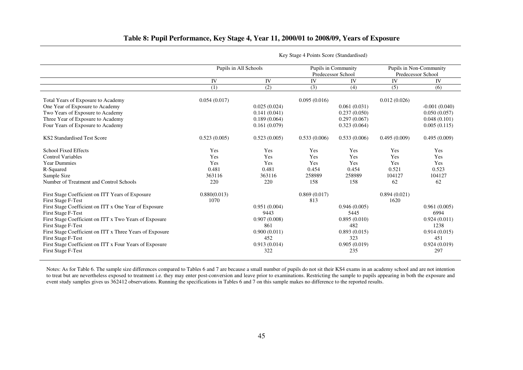# **Table 8: Pupil Performance, Key Stage 4, Year 11, 2000/01 to 2008/09, Years of Exposure**

|                                                          | Pupils in All Schools |              | Predecessor School | Pupils in Community |              | Pupils in Non-Community<br>Predecessor School |
|----------------------------------------------------------|-----------------------|--------------|--------------------|---------------------|--------------|-----------------------------------------------|
|                                                          | IV                    | IV           | IV                 | IV                  | IV           | IV                                            |
|                                                          | (1)                   | (2)          | (3)                | (4)                 | (5)          | (6)                                           |
| Total Years of Exposure to Academy                       | 0.054(0.017)          |              | 0.095(0.016)       |                     | 0.012(0.026) |                                               |
| One Year of Exposure to Academy                          |                       | 0.025(0.024) |                    | 0.061(0.031)        |              | $-0.001(0.040)$                               |
| Two Years of Exposure to Academy                         |                       | 0.141(0.041) |                    | 0.237(0.050)        |              | 0.050(0.057)                                  |
| Three Year of Exposure to Academy                        |                       | 0.189(0.064) |                    | 0.297(0.067)        |              | 0.048(0.101)                                  |
| Four Years of Exposure to Academy                        |                       | 0.161(0.079) |                    | 0.323(0.064)        |              | 0.005(0.115)                                  |
| <b>KS2 Standardised Test Score</b>                       | 0.523(0.005)          | 0.523(0.005) | 0.533(0.006)       | 0.533(0.006)        | 0.495(0.009) | 0.495(0.009)                                  |
| <b>School Fixed Effects</b>                              | Yes                   | Yes          | Yes                | Yes                 | Yes          | Yes                                           |
| <b>Control Variables</b>                                 | Yes                   | Yes          | Yes                | Yes                 | Yes          | Yes                                           |
| <b>Year Dummies</b>                                      | Yes                   | Yes          | Yes                | Yes                 | Yes          | Yes                                           |
| R-Squared                                                | 0.481                 | 0.481        | 0.454              | 0.454               | 0.521        | 0.523                                         |
| Sample Size                                              | 363116                | 363116       | 258989             | 258989              | 104127       | 104127                                        |
| Number of Treatment and Control Schools                  | 220                   | 220          | 158                | 158                 | 62           | 62                                            |
| First Stage Coefficient on ITT Years of Exposure         | 0.880(0.013)          |              | 0.869(0.017)       |                     | 0.894(0.021) |                                               |
| <b>First Stage F-Test</b>                                | 1070                  |              | 813                |                     | 1620         |                                               |
| First Stage Coefficient on ITT x One Year of Exposure    |                       | 0.951(0.004) |                    | 0.946(0.005)        |              | 0.961(0.005)                                  |
| <b>First Stage F-Test</b>                                |                       | 9443         |                    | 5445                |              | 6994                                          |
| First Stage Coefficient on ITT x Two Years of Exposure   |                       | 0.907(0.008) |                    | 0.895(0.010)        |              | 0.924(0.011)                                  |
| <b>First Stage F-Test</b>                                |                       | 861          |                    | 482                 |              | 1238                                          |
| First Stage Coefficient on ITT x Three Years of Exposure |                       | 0.900(0.011) |                    | 0.893(0.015)        |              | 0.914(0.015)                                  |
| <b>First Stage F-Test</b>                                |                       | 452          |                    | 323                 |              | 451                                           |
| First Stage Coefficient on ITT x Four Years of Exposure  |                       | 0.913(0.014) |                    | 0.905(0.019)        |              | 0.924(0.019)                                  |
| <b>First Stage F-Test</b>                                |                       | 322          |                    | 235                 |              | 297                                           |

 $\overline{a}$ 

Key Stage 4 Points Score (Standardised)

Notes: As for Table 6. The sample size differences compared to Tables 6 and 7 are because a small number of pupils do not sit their KS4 exams in an academy school and are not intention to treat but are nevertheless exposed to treatment i.e. they may enter post-conversion and leave prior to examinations. Restricting the sample to pupils appearing in both the exposure and event study samples gives us 362412 observations. Running the specifications in Tables 6 and 7 on this sample makes no difference to the reported results.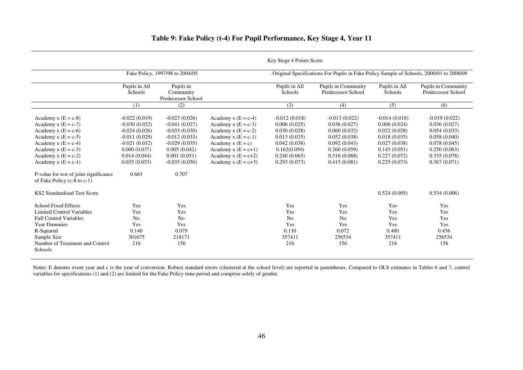|                                                                                                                                                                                                                                               |                                                                                                                                                      |                                                                                                                                                         |                                                                                                                                                                                             | Key Stage 4 Points Score                                                                                                        |                                                                                                                                 |                                                                                                                                 |                                                                                                                                 |
|-----------------------------------------------------------------------------------------------------------------------------------------------------------------------------------------------------------------------------------------------|------------------------------------------------------------------------------------------------------------------------------------------------------|---------------------------------------------------------------------------------------------------------------------------------------------------------|---------------------------------------------------------------------------------------------------------------------------------------------------------------------------------------------|---------------------------------------------------------------------------------------------------------------------------------|---------------------------------------------------------------------------------------------------------------------------------|---------------------------------------------------------------------------------------------------------------------------------|---------------------------------------------------------------------------------------------------------------------------------|
|                                                                                                                                                                                                                                               |                                                                                                                                                      | Fake Policy, 1997/98 to 2004/05                                                                                                                         |                                                                                                                                                                                             |                                                                                                                                 | . Original Specifications For Pupils in Fake Policy Sample of Schools, 2000/01 to 2008/09                                       |                                                                                                                                 |                                                                                                                                 |
|                                                                                                                                                                                                                                               | Pupils in All<br>Schools                                                                                                                             | Pupils in<br>Community<br>Predecessor School                                                                                                            |                                                                                                                                                                                             | Pupils in All<br>Schools                                                                                                        | Pupils in Community<br>Predecessor School                                                                                       | Pupils in All<br>Schools                                                                                                        | <b>Pupils in Community</b><br>Predecessor School                                                                                |
|                                                                                                                                                                                                                                               | (1)                                                                                                                                                  | (2)                                                                                                                                                     |                                                                                                                                                                                             | (3)                                                                                                                             | (4)                                                                                                                             | (5)                                                                                                                             | (6)                                                                                                                             |
| Academy x $(E = c-8)$<br>Academy x $(E = c-7)$<br>Academy x $(E = c-6)$<br>Academy $x (E = c-5)$<br>Academy $x(E = c-4)$<br>Academy $x (E = c-3)$<br>Academy x $(E = c-2)$<br>Academy x $(E = c-1)$<br>P-value for test of joint significance | $-0.022(0.019)$<br>$-0.030(0.022)$<br>$-0.024(0.026)$<br>$-0.011(0.029)$<br>$-0.021(0.032)$<br>0.000(0.037)<br>0.014(0.044)<br>0.035(0.053)<br>0.663 | $-0.023(0.026)$<br>$-0.041(0.027)$<br>$-0.033(0.030)$<br>$-0.012(0.033)$<br>$-0.029(0.035)$<br>0.005(0.042)<br>0.001(0.051)<br>$-0.035(0.050)$<br>0.707 | Academy $x(E = c-4)$<br>Academy $x(E = c-3)$<br>Academy $x(E = c-2)$<br>Academy $x(E = c-1)$<br>Academy $x(E = c)$<br>Academy $x(E = c+1)$<br>Academy x $(E = c+2)$<br>Academy $x(E = c+3)$ | $-0.012(0.018)$<br>0.006(0.025)<br>0.030(0.028)<br>0.013(0.035)<br>0.042(0.038)<br>0.162(0.050)<br>0.240(0.063)<br>0.293(0.073) | $-0.013(0.022)$<br>0.036(0.027)<br>0.060(0.032)<br>0.052(0.038)<br>0.092(0.043)<br>0.260(0.059)<br>0.316(0.068)<br>0.415(0.081) | $-0.014(0.018)$<br>0.006(0.024)<br>0.022(0.028)<br>0.018(0.035)<br>0.027(0.038)<br>0.145(0.051)<br>0.227(0.072)<br>0.225(0.073) | $-0.019(0.022)$<br>0.036(0.027)<br>0.054(0.033)<br>0.058(0.040)<br>0.078(0.045)<br>0.250(0.063)<br>0.335(0.078)<br>0.367(0.071) |
| of Fake Policy $(c-8$ to $c-1)$<br>KS2 Standardised Test Score                                                                                                                                                                                |                                                                                                                                                      |                                                                                                                                                         |                                                                                                                                                                                             |                                                                                                                                 |                                                                                                                                 | 0.524(0.005)                                                                                                                    | 0.534(0.006)                                                                                                                    |
| <b>School Fixed Effects</b><br><b>Limited Control Variables</b><br><b>Full Control Variables</b><br><b>Year Dummies</b><br>R-Squared<br>Sample Size<br>Number of Treatment and Control<br>Schools                                             | Yes<br>Yes<br>N <sub>o</sub><br>Yes<br>0.140<br>301675<br>216                                                                                        | Yes<br>Yes<br>No<br>Yes<br>0.079<br>218171<br>156                                                                                                       |                                                                                                                                                                                             | Yes<br>Yes<br>N <sub>o</sub><br>Yes<br>0.130<br>357411<br>216                                                                   | Yes<br>Yes<br>No<br>Yes<br>0.072<br>256534<br>156                                                                               | Yes<br>Yes<br>Yes<br>Yes<br>0.480<br>357411<br>216                                                                              | Yes<br>Yes<br>Yes<br>Yes<br>0.456<br>256534<br>156                                                                              |

# **Table 9: Fake Policy (t-4) For Pupil Performance, Key Stage 4, Year 11**

Notes: E denotes event year and c is the year of conversion. Robust standard errors (clustered at the school level) are reported in parentheses. Compared to OLS estimates in Tables 6 and 7, control variables for specificat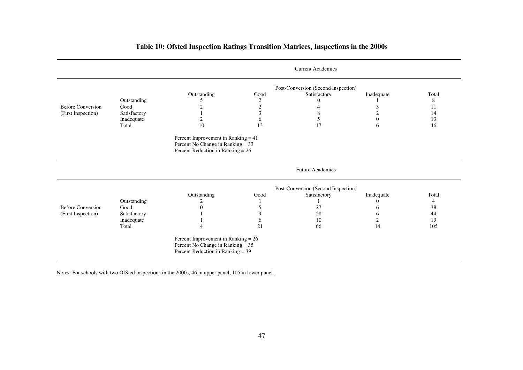|  | Table 10: Ofsted Inspection Ratings Transition Matrices, Inspections in the 2000s |
|--|-----------------------------------------------------------------------------------|
|  |                                                                                   |

|                          |              |                                                                                                                   |      | <b>Current Academies</b>            |                |       |
|--------------------------|--------------|-------------------------------------------------------------------------------------------------------------------|------|-------------------------------------|----------------|-------|
|                          |              |                                                                                                                   |      | Post-Conversion (Second Inspection) |                |       |
|                          |              | Outstanding                                                                                                       | Good | Satisfactory                        | Inadequate     | Total |
|                          | Outstanding  | C                                                                                                                 | 2    |                                     |                | 8     |
| <b>Before Conversion</b> | Good         | $\overline{2}$                                                                                                    | 2    |                                     | 3              | 11    |
| (First Inspection)       | Satisfactory |                                                                                                                   | 3    | 8                                   | $\overline{2}$ | 14    |
|                          | Inadequate   | $\overline{c}$                                                                                                    | 6    | 5                                   | $\Omega$       | 13    |
|                          | Total        | 10                                                                                                                | 13   | 17                                  | 6              | 46    |
|                          |              | Percent Improvement in Ranking = $41$<br>Percent No Change in Ranking = 33<br>Percent Reduction in Ranking = $26$ |      |                                     |                |       |
|                          |              |                                                                                                                   |      | <b>Future Academies</b>             |                |       |
|                          |              |                                                                                                                   |      | Post-Conversion (Second Inspection) |                |       |
|                          |              | Outstanding                                                                                                       | Good | Satisfactory                        | Inadequate     | Total |
|                          | Outstanding  | 2                                                                                                                 |      |                                     | $\theta$       | 4     |
| <b>Before Conversion</b> | Good         | $\Omega$                                                                                                          | 5    | 27                                  | 6              | 38    |
| (First Inspection)       | Satisfactory |                                                                                                                   | 9    | 28                                  | 6              | 44    |
|                          | Inadequate   |                                                                                                                   | O    | 10                                  | 2              | 19    |
|                          | Total        |                                                                                                                   | 21   | 66                                  | 14             | 105   |
|                          |              | Percent Improvement in Ranking = $26$<br>Percent No Change in Ranking = 35<br>Percent Reduction in Ranking = 39   |      |                                     |                |       |

Notes: For schools with two OfSted inspections in the 2000s, 46 in upper panel, 105 in lower panel.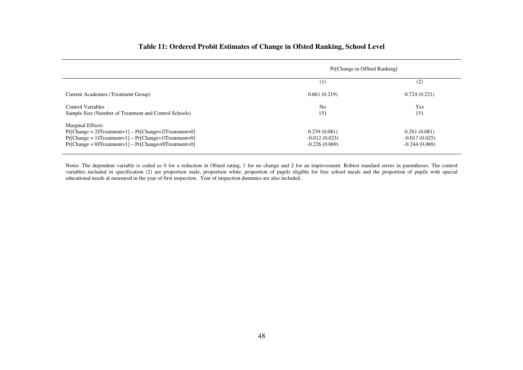# **Table 11: Ordered Probit Estimates of Change in Ofsted Ranking, School Level**

|                                                                                                                                                                                                                        | Pr[Change in OfSted Ranking]                       |                                                    |
|------------------------------------------------------------------------------------------------------------------------------------------------------------------------------------------------------------------------|----------------------------------------------------|----------------------------------------------------|
|                                                                                                                                                                                                                        | (1)                                                | (2)                                                |
| Current Academies (Treatment Group)                                                                                                                                                                                    | 0.661(0.219)                                       | 0.724(0.221)                                       |
| Control Variables<br>Sample Size (Number of Treatment and Control Schools)                                                                                                                                             | N <sub>o</sub><br>151                              | Yes<br>151                                         |
| Marginal Effects:<br>$Pr[Change = 2  Treatment=1] - Pr[Change = 2 Treatment=0]$<br>$Pr[Change = 1  Treatment=1] - Pr[Change=1 Treatment=0]$<br>$Pr[Change = 0 \mid Treatment = 1] - Pr[Change = 0 \mid Treatment = 0]$ | 0.239(0.081)<br>$-0.012(0.023)$<br>$-0.226(0.069)$ | 0.261(0.081)<br>$-0.017(0.025)$<br>$-0.244(0.069)$ |

Notes: The dependent variable is coded as 0 for a reduction in Ofsted rating, 1 for no change and 2 for an improvement. Robust standard errors in parentheses. The control<br>variables included in specification (2) are proport educational needs al measured in the year of first inspection. Year of inspection dummies are also included.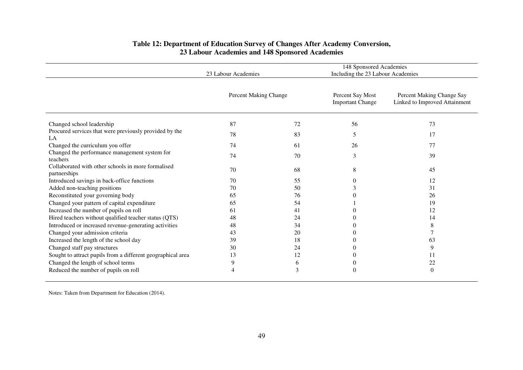|                                                                    | 23 Labour Academies   |    | 148 Sponsored Academies<br>Including the 23 Labour Academies |                                                            |
|--------------------------------------------------------------------|-----------------------|----|--------------------------------------------------------------|------------------------------------------------------------|
|                                                                    | Percent Making Change |    | Percent Say Most<br><b>Important Change</b>                  | Percent Making Change Say<br>Linked to Improved Attainment |
| Changed school leadership                                          | 87                    | 72 | 56                                                           | 73                                                         |
| Procured services that were previously provided by the<br>LA       | 78                    | 83 | 5                                                            | 17                                                         |
| Changed the curriculum you offer                                   | 74                    | 61 | 26                                                           | 77                                                         |
| Changed the performance management system for<br>teachers          | 74                    | 70 | 3                                                            | 39                                                         |
| Collaborated with other schools in more formalised<br>partnerships | 70                    | 68 | 8                                                            | 45                                                         |
| Introduced savings in back-office functions                        | 70                    | 55 | 0                                                            | 12                                                         |
| Added non-teaching positions                                       | 70                    | 50 | 3                                                            | 31                                                         |
| Reconstituted your governing body                                  | 65                    | 76 |                                                              | 26                                                         |
| Changed your pattern of capital expenditure                        | 65                    | 54 |                                                              | 19                                                         |
| Increased the number of pupils on roll                             | 61                    | 41 |                                                              | 12                                                         |
| Hired teachers without qualified teacher status (QTS)              | 48                    | 24 |                                                              | 14                                                         |
| Introduced or increased revenue-generating activities              | 48                    | 34 |                                                              | 8                                                          |
| Changed your admission criteria                                    | 43                    | 20 | $\theta$                                                     |                                                            |
| Increased the length of the school day                             | 39                    | 18 |                                                              | 63                                                         |
| Changed staff pay structures                                       | 30                    | 24 |                                                              | 9                                                          |
| Sought to attract pupils from a different geographical area        | 13                    | 12 |                                                              | 11                                                         |
| Changed the length of school terms                                 | 9                     | 6  |                                                              | 22                                                         |
| Reduced the number of pupils on roll                               |                       | 3  | 0                                                            | $\theta$                                                   |

# **Table 12: Department of Education Survey of Changes After Academy Conversion, 23 Labour Academies and 148 Sponsored Academies**

Notes: Taken from Department for Education (2014).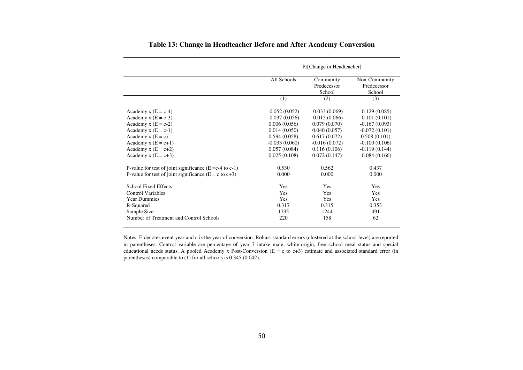|                                                                  |                 | Pr[Change in Headteacher]          |                                        |
|------------------------------------------------------------------|-----------------|------------------------------------|----------------------------------------|
|                                                                  | All Schools     | Community<br>Predecessor<br>School | Non-Community<br>Predecessor<br>School |
|                                                                  | (1)             | (2)                                | (3)                                    |
| Academy x $(E = c-4)$                                            | $-0.052(0.052)$ | $-0.033(0.069)$                    | $-0.129(0.085)$                        |
| Academy $x(E = c-3)$                                             | $-0.037(0.056)$ | $-0.015(0.066)$                    | $-0.101(0.101)$                        |
| Academy x $(E = c-2)$                                            | 0.006(0.056)    | 0.079(0.070)                       | $-0.167(0.093)$                        |
| Academy $x(E = c-1)$                                             | 0.014(0.050)    | 0.040(0.057)                       | $-0.072(0.101)$                        |
| Academy $x(E = c)$                                               | 0.594(0.058)    | 0.617(0.072)                       | 0.508(0.101)                           |
| Academy $x(E = c+1)$                                             | $-0.033(0.060)$ | $-0.016(0.072)$                    | $-0.100(0.106)$                        |
| Academy $x(E = c+2)$                                             | 0.057(0.084)    | 0.116(0.106)                       | $-0.119(0.144)$                        |
| Academy x $(E = c+3)$                                            | 0.025(0.108)    | 0.072(0.147)                       | $-0.084(0.166)$                        |
| P-value for test of joint significance ( $E = c-4$ to $c-1$ )    | 0.530           | 0.562                              | 0.437                                  |
| P-value for test of joint significance $(E = c \text{ to } c+3)$ | 0.000           | 0.000                              | 0.000                                  |
| <b>School Fixed Effects</b>                                      | Yes             | <b>Yes</b>                         | <b>Yes</b>                             |
| <b>Control Variables</b>                                         | <b>Yes</b>      | <b>Yes</b>                         | <b>Yes</b>                             |
| <b>Year Dummies</b>                                              | Yes             | <b>Yes</b>                         | <b>Yes</b>                             |
| R-Squared                                                        | 0.317           | 0.315                              | 0.353                                  |
| Sample Size                                                      | 1735            | 1244                               | 491                                    |
| Number of Treatment and Control Schools                          | 220             | 158                                | 62                                     |

# **Table 13: Change in Headteacher Before and After Academy Conversion**

Notes: E denotes event year and c is the year of conversion. Robust standard errors (clustered at the school level) are reported in parentheses. Control variable are percentage of year 7 intake male, white-origin, free school meal status and special educational needs status. A pooled Academy x Post-Conversion (E = c to c+3) estimate and associated standard error (in parentheses) comparable to (1) for all schools is 0.345 (0.042).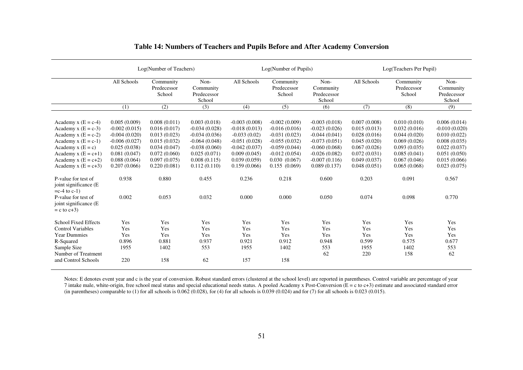|                                                                                                                                                                       |                                                                                                                       | Log(Number of Teachers)                                                                                      |                                                                                                                          |                                                                                                                            | Log(Number of Pupils)                                                                                                          |                                                                                                                                   |                                                                                                              | Log(Teachers Per Pupil)                                                                                      |                                                                                                                 |
|-----------------------------------------------------------------------------------------------------------------------------------------------------------------------|-----------------------------------------------------------------------------------------------------------------------|--------------------------------------------------------------------------------------------------------------|--------------------------------------------------------------------------------------------------------------------------|----------------------------------------------------------------------------------------------------------------------------|--------------------------------------------------------------------------------------------------------------------------------|-----------------------------------------------------------------------------------------------------------------------------------|--------------------------------------------------------------------------------------------------------------|--------------------------------------------------------------------------------------------------------------|-----------------------------------------------------------------------------------------------------------------|
|                                                                                                                                                                       | All Schools                                                                                                           | Community<br>Predecessor<br>School                                                                           | Non-<br>Community<br>Predecessor<br>School                                                                               | All Schools                                                                                                                | Community<br>Predecessor<br>School                                                                                             | Non-<br>Community<br>Predecessor<br>School                                                                                        | All Schools                                                                                                  | Community<br>Predecessor<br>School                                                                           | Non-<br>Community<br>Predecessor<br>School                                                                      |
|                                                                                                                                                                       | (1)                                                                                                                   | (2)                                                                                                          | (3)                                                                                                                      | (4)                                                                                                                        | (5)                                                                                                                            | (6)                                                                                                                               | (7)                                                                                                          | (8)                                                                                                          | (9)                                                                                                             |
| Academy $x(E = c-4)$<br>Academy x $(E = c-3)$<br>Academy $x(E = c-2)$<br>Academy $x(E = c-1)$<br>Academy $x(E = c)$<br>Academy x $(E = c+1)$<br>Academy x $(E = c+2)$ | 0.005(0.009)<br>$-0.002(0.015)$<br>$-0.004(0.020)$<br>$-0.006(0.027)$<br>0.025(0.038)<br>0.081(0.047)<br>0.088(0.064) | 0.008(0.011)<br>0.016(0.017)<br>0.013(0.023)<br>0.015(0.032)<br>0.034(0.047)<br>0.072(0.060)<br>0.097(0.075) | 0.003(0.018)<br>$-0.034(0.028)$<br>$-0.034(0.036)$<br>$-0.064(0.048)$<br>$-0.038(0.060)$<br>0.025(0.071)<br>0.008(0.115) | $-0.003(0.008)$<br>$-0.018(0.013)$<br>$-0.033(0.02)$<br>$-0.051(0.028)$<br>$-0.042(0.037)$<br>0.009(0.045)<br>0.039(0.059) | $-0.002(0.009)$<br>$-0.016(0.016)$<br>$-0.031(0.023)$<br>$-0.055(0.032)$<br>$-0.059(0.044)$<br>$-0.012(0.054)$<br>0.030(0.067) | $-0.003(0.018)$<br>$-0.023(0.026)$<br>$-0.044(0.041)$<br>$-0.073(0.051)$<br>$-0.060(0.068)$<br>$-0.026(0.082)$<br>$-0.007(0.116)$ | 0.007(0.008)<br>0.015(0.013)<br>0.028(0.016)<br>0.045(0.020)<br>0.067(0.026)<br>0.072(0.031)<br>0.049(0.037) | 0.010(0.010)<br>0.032(0.016)<br>0.044(0.020)<br>0.069(0.026)<br>0.093(0.035)<br>0.085(0.041)<br>0.067(0.046) | 0.006(0.014)<br>$-0.010(0.020)$<br>0.010(0.022)<br>0.008(0.035)<br>0.022(0.037)<br>0.051(0.050)<br>0.015(0.066) |
| Academy x $(E = c+3)$                                                                                                                                                 | 0.207(0.066)                                                                                                          | 0.220(0.081)                                                                                                 | 0.112(0.110)                                                                                                             | 0.159(0.066)                                                                                                               | 0.155(0.069)                                                                                                                   | 0.089(0.137)                                                                                                                      | 0.048(0.051)                                                                                                 | 0.065(0.068)                                                                                                 | 0.023(0.075)                                                                                                    |
| P-value for test of<br>joint significance (E<br>$=c-4$ to $c-1$ )<br>P-value for test of<br>joint significance (E)<br>$= c$ to $c+3$ )                                | 0.938<br>0.002                                                                                                        | 0.880<br>0.053                                                                                               | 0.455<br>0.032                                                                                                           | 0.236<br>0.000                                                                                                             | 0.218<br>0.000                                                                                                                 | 0.600<br>0.050                                                                                                                    | 0.203<br>0.074                                                                                               | 0.091<br>0.098                                                                                               | 0.567<br>0.770                                                                                                  |
| <b>School Fixed Effects</b><br><b>Control Variables</b><br><b>Year Dummies</b><br>R-Squared<br>Sample Size<br>Number of Treatment<br>and Control Schools              | Yes<br>Yes<br>Yes<br>0.896<br>1955<br>220                                                                             | Yes<br>Yes<br>Yes<br>0.881<br>1402<br>158                                                                    | Yes<br>Yes<br>Yes<br>0.937<br>553<br>62                                                                                  | Yes<br>Yes<br>Yes<br>0.921<br>1955<br>157                                                                                  | Yes<br>Yes<br>Yes<br>0.912<br>1402<br>158                                                                                      | Yes<br>Yes<br>Yes<br>0.948<br>553<br>62                                                                                           | Yes<br>Yes<br>Yes<br>0.599<br>1955<br>220                                                                    | Yes<br>Yes<br>Yes<br>0.575<br>1402<br>158                                                                    | Yes<br>Yes<br>Yes<br>0.677<br>553<br>62                                                                         |

# **Table 14: Numbers of Teachers and Pupils Before and After Academy Conversion**

Notes: E denotes event year and c is the year of conversion. Robust standard errors (clustered at the school level) are reported in parentheses. Control variable are percentage of year 7 intake male, white-origin, free school meal status and special educational needs status. A pooled Academy x Post-Conversion (E = c to c+3) estimate and associated standard error (in parentheses) comparable to (1) for all schools is  $0.062$  (0.028), for (4) for all schools is 0.039 (0.024) and for (7) for all schools is 0.023 (0.015).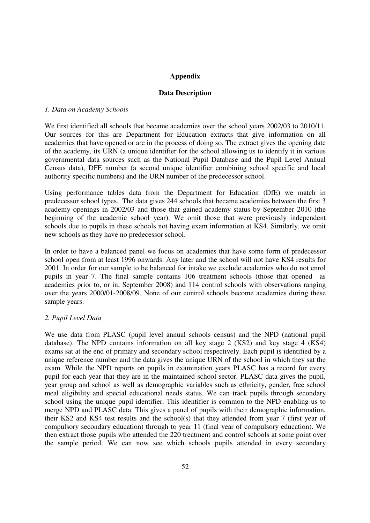# **Appendix**

## **Data Description**

#### *1. Data on Academy Schools*

We first identified all schools that became academies over the school years 2002/03 to 2010/11. Our sources for this are Department for Education extracts that give information on all academies that have opened or are in the process of doing so. The extract gives the opening date of the academy, its URN (a unique identifier for the school allowing us to identify it in various governmental data sources such as the National Pupil Database and the Pupil Level Annual Census data), DFE number (a second unique identifier combining school specific and local authority specific numbers) and the URN number of the predecessor school.

Using performance tables data from the Department for Education (DfE) we match in predecessor school types. The data gives 244 schools that became academies between the first 3 academy openings in 2002/03 and those that gained academy status by September 2010 (the beginning of the academic school year). We omit those that were previously independent schools due to pupils in these schools not having exam information at KS4. Similarly, we omit new schools as they have no predecessor school.

In order to have a balanced panel we focus on academies that have some form of predecessor school open from at least 1996 onwards. Any later and the school will not have KS4 results for 2001. In order for our sample to be balanced for intake we exclude academies who do not enrol pupils in year 7. The final sample contains 106 treatment schools (those that opened as academies prior to, or in, September 2008) and 114 control schools with observations ranging over the years 2000/01-2008/09. None of our control schools become academies during these sample years.

# *2. Pupil Level Data*

We use data from PLASC (pupil level annual schools census) and the NPD (national pupil database). The NPD contains information on all key stage 2 (KS2) and key stage 4 (KS4) exams sat at the end of primary and secondary school respectively. Each pupil is identified by a unique reference number and the data gives the unique URN of the school in which they sat the exam. While the NPD reports on pupils in examination years PLASC has a record for every pupil for each year that they are in the maintained school sector. PLASC data gives the pupil, year group and school as well as demographic variables such as ethnicity, gender, free school meal eligibility and special educational needs status. We can track pupils through secondary school using the unique pupil identifier. This identifier is common to the NPD enabling us to merge NPD and PLASC data. This gives a panel of pupils with their demographic information, their KS2 and KS4 test results and the school(s) that they attended from year 7 (first year of compulsory secondary education) through to year 11 (final year of compulsory education). We then extract those pupils who attended the 220 treatment and control schools at some point over the sample period. We can now see which schools pupils attended in every secondary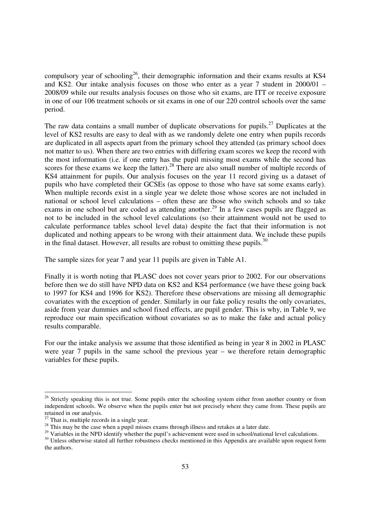compulsory year of schooling<sup>26</sup>, their demographic information and their exams results at KS4 and KS2. Our intake analysis focuses on those who enter as a year 7 student in 2000/01 – 2008/09 while our results analysis focuses on those who sit exams, are ITT or receive exposure in one of our 106 treatment schools or sit exams in one of our 220 control schools over the same period.

The raw data contains a small number of duplicate observations for pupils.<sup>27</sup> Duplicates at the level of KS2 results are easy to deal with as we randomly delete one entry when pupils records are duplicated in all aspects apart from the primary school they attended (as primary school does not matter to us). When there are two entries with differing exam scores we keep the record with the most information (i.e. if one entry has the pupil missing most exams while the second has scores for these exams we keep the latter).<sup>28</sup> There are also small number of multiple records of KS4 attainment for pupils. Our analysis focuses on the year 11 record giving us a dataset of pupils who have completed their GCSEs (as oppose to those who have sat some exams early). When multiple records exist in a single year we delete those whose scores are not included in national or school level calculations – often these are those who switch schools and so take exams in one school but are coded as attending another.<sup>29</sup> In a few cases pupils are flagged as not to be included in the school level calculations (so their attainment would not be used to calculate performance tables school level data) despite the fact that their information is not duplicated and nothing appears to be wrong with their attainment data. We include these pupils in the final dataset. However, all results are robust to omitting these pupils. $30$ 

The sample sizes for year 7 and year 11 pupils are given in Table A1.

Finally it is worth noting that PLASC does not cover years prior to 2002. For our observations before then we do still have NPD data on KS2 and KS4 performance (we have these going back to 1997 for KS4 and 1996 for KS2). Therefore these observations are missing all demographic covariates with the exception of gender. Similarly in our fake policy results the only covariates, aside from year dummies and school fixed effects, are pupil gender. This is why, in Table 9, we reproduce our main specification without covariates so as to make the fake and actual policy results comparable.

For our the intake analysis we assume that those identified as being in year 8 in 2002 in PLASC were year 7 pupils in the same school the previous year – we therefore retain demographic variables for these pupils.

 $\overline{a}$ 

<sup>&</sup>lt;sup>26</sup> Strictly speaking this is not true. Some pupils enter the schooling system either from another country or from independent schools. We observe when the pupils enter but not precisely where they came from. These pupils are retained in our analysis.

 $27$  That is, multiple records in a single year.

<sup>&</sup>lt;sup>28</sup> This may be the case when a pupil misses exams through illness and retakes at a later date.

<sup>&</sup>lt;sup>29</sup> Variables in the NPD identify whether the pupil's achievement were used in school/national level calculations.

<sup>&</sup>lt;sup>30</sup> Unless otherwise stated all further robustness checks mentioned in this Appendix are available upon request form the authors.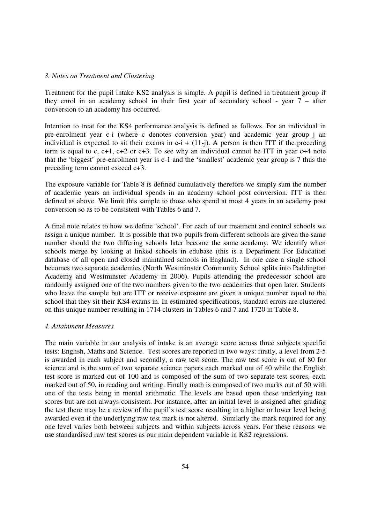#### *3. Notes on Treatment and Clustering*

Treatment for the pupil intake KS2 analysis is simple. A pupil is defined in treatment group if they enrol in an academy school in their first year of secondary school - year 7 – after conversion to an academy has occurred.

Intention to treat for the KS4 performance analysis is defined as follows. For an individual in pre-enrolment year c-i (where c denotes conversion year) and academic year group j an individual is expected to sit their exams in  $c-i + (11-i)$ . A person is then ITT if the preceding term is equal to c,  $c+1$ ,  $c+2$  or  $c+3$ . To see why an individual cannot be ITT in year  $c+4$  note that the 'biggest' pre-enrolment year is c-1 and the 'smallest' academic year group is 7 thus the preceding term cannot exceed c+3.

The exposure variable for Table 8 is defined cumulatively therefore we simply sum the number of academic years an individual spends in an academy school post conversion. ITT is then defined as above. We limit this sample to those who spend at most 4 years in an academy post conversion so as to be consistent with Tables 6 and 7.

A final note relates to how we define 'school'. For each of our treatment and control schools we assign a unique number. It is possible that two pupils from different schools are given the same number should the two differing schools later become the same academy. We identify when schools merge by looking at linked schools in edubase (this is a Department For Education database of all open and closed maintained schools in England). In one case a single school becomes two separate academies (North Westminster Community School splits into Paddington Academy and Westminster Academy in 2006). Pupils attending the predecessor school are randomly assigned one of the two numbers given to the two academies that open later. Students who leave the sample but are ITT or receive exposure are given a unique number equal to the school that they sit their KS4 exams in. In estimated specifications, standard errors are clustered on this unique number resulting in 1714 clusters in Tables 6 and 7 and 1720 in Table 8.

#### *4. Attainment Measures*

The main variable in our analysis of intake is an average score across three subjects specific tests: English, Maths and Science. Test scores are reported in two ways: firstly, a level from 2-5 is awarded in each subject and secondly, a raw test score. The raw test score is out of 80 for science and is the sum of two separate science papers each marked out of 40 while the English test score is marked out of 100 and is composed of the sum of two separate test scores, each marked out of 50, in reading and writing. Finally math is composed of two marks out of 50 with one of the tests being in mental arithmetic. The levels are based upon these underlying test scores but are not always consistent. For instance, after an initial level is assigned after grading the test there may be a review of the pupil's test score resulting in a higher or lower level being awarded even if the underlying raw test mark is not altered. Similarly the mark required for any one level varies both between subjects and within subjects across years. For these reasons we use standardised raw test scores as our main dependent variable in KS2 regressions.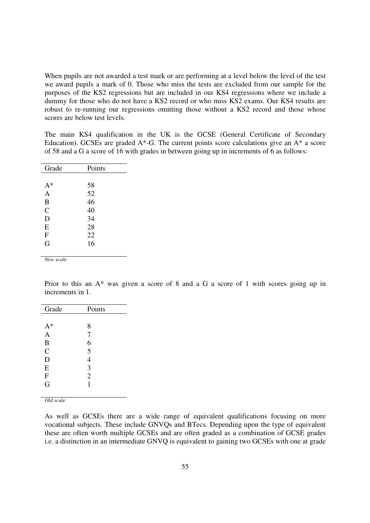When pupils are not awarded a test mark or are performing at a level below the level of the test we award pupils a mark of 0. Those who miss the tests are excluded from our sample for the purposes of the KS2 regressions but are included in our KS4 regressions where we include a dummy for those who do not have a KS2 record or who miss KS2 exams. Our KS4 results are robust to re-running our regressions omitting those without a KS2 record and those whose scores are below test levels.

The main KS4 qualification in the UK is the GCSE (General Certificate of Secondary Education). GCSEs are graded  $A^*$ -G. The current points score calculations give an  $A^*$  a score of 58 and a G a score of 16 with grades in between going up in increments of 6 as follows:

| Grade          | Points |
|----------------|--------|
|                |        |
| $A^*$          | 58     |
| $\mathbf{A}$   | 52     |
| B              | 46     |
| $\mathcal{C}$  | 40     |
| D              | 34     |
| E              | 28     |
| $\overline{F}$ | 22     |
| G              | 16     |
|                |        |

*New scale* 

Prior to this an A\* was given a score of 8 and a G a score of 1 with scores going up in increments in 1.

| Grade          | Points         |
|----------------|----------------|
|                |                |
| $A^*$          | 8              |
| $\overline{A}$ | $\overline{7}$ |
| B              | 6              |
| $\overline{C}$ | 5              |
| D              | $\overline{4}$ |
| E              | 3              |
| $\mathbf F$    | $\overline{2}$ |
| G              | 1              |
|                |                |

*Old scale* 

As well as GCSEs there are a wide range of equivalent qualifications focusing on more vocational subjects. These include GNVQs and BTecs. Depending upon the type of equivalent these are often worth multiple GCSEs and are often graded as a combination of GCSE grades i.e. a distinction in an intermediate GNVQ is equivalent to gaining two GCSEs with one at grade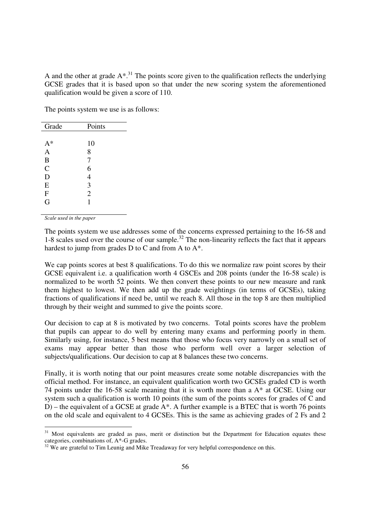A and the other at grade  $A^*$ <sup>31</sup>. The points score given to the qualification reflects the underlying GCSE grades that it is based upon so that under the new scoring system the aforementioned qualification would be given a score of 110.

The points system we use is as follows:

| Grade          | Points         |
|----------------|----------------|
|                |                |
| $A^*$          | 10             |
| $\overline{A}$ | 8              |
| B              | 7              |
| $\overline{C}$ | 6              |
| D              | 4              |
| E              | 3              |
| $\mathbf F$    | $\overline{2}$ |
| G              | 1              |

*Scale used in the paper* 

 $\overline{a}$ 

The points system we use addresses some of the concerns expressed pertaining to the 16-58 and 1-8 scales used over the course of our sample.<sup>32</sup> The non-linearity reflects the fact that it appears hardest to jump from grades D to C and from A to  $A^*$ .

We cap points scores at best 8 qualifications. To do this we normalize raw point scores by their GCSE equivalent i.e. a qualification worth 4 GSCEs and 208 points (under the 16-58 scale) is normalized to be worth 52 points. We then convert these points to our new measure and rank them highest to lowest. We then add up the grade weightings (in terms of GCSEs), taking fractions of qualifications if need be, until we reach 8. All those in the top 8 are then multiplied through by their weight and summed to give the points score.

Our decision to cap at 8 is motivated by two concerns. Total points scores have the problem that pupils can appear to do well by entering many exams and performing poorly in them. Similarly using, for instance, 5 best means that those who focus very narrowly on a small set of exams may appear better than those who perform well over a larger selection of subjects/qualifications. Our decision to cap at 8 balances these two concerns.

Finally, it is worth noting that our point measures create some notable discrepancies with the official method. For instance, an equivalent qualification worth two GCSEs graded CD is worth 74 points under the 16-58 scale meaning that it is worth more than a A\* at GCSE. Using our system such a qualification is worth 10 points (the sum of the points scores for grades of C and D) – the equivalent of a GCSE at grade A\*. A further example is a BTEC that is worth 76 points on the old scale and equivalent to 4 GCSEs. This is the same as achieving grades of 2 Fs and 2

<sup>&</sup>lt;sup>31</sup> Most equivalents are graded as pass, merit or distinction but the Department for Education equates these categories, combinations of, A\*-G grades.

<sup>&</sup>lt;sup>32</sup> We are grateful to Tim Leunig and Mike Treadaway for very helpful correspondence on this.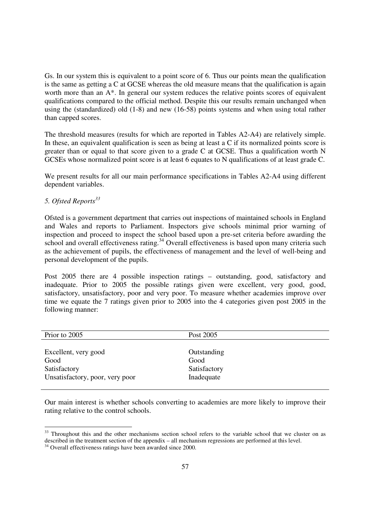Gs. In our system this is equivalent to a point score of 6. Thus our points mean the qualification is the same as getting a C at GCSE whereas the old measure means that the qualification is again worth more than an  $A^*$ . In general our system reduces the relative points scores of equivalent qualifications compared to the official method. Despite this our results remain unchanged when using the (standardized) old (1-8) and new (16-58) points systems and when using total rather than capped scores.

The threshold measures (results for which are reported in Tables A2-A4) are relatively simple. In these, an equivalent qualification is seen as being at least a C if its normalized points score is greater than or equal to that score given to a grade C at GCSE. Thus a qualification worth  $N$ GCSEs whose normalized point score is at least 6 equates to N qualifications of at least grade C.

We present results for all our main performance specifications in Tables A2-A4 using different dependent variables.

# *5. Ofsted Reports<sup>33</sup>*

 $\overline{a}$ 

Ofsted is a government department that carries out inspections of maintained schools in England and Wales and reports to Parliament. Inspectors give schools minimal prior warning of inspection and proceed to inspect the school based upon a pre-set criteria before awarding the school and overall effectiveness rating.<sup>34</sup> Overall effectiveness is based upon many criteria such as the achievement of pupils, the effectiveness of management and the level of well-being and personal development of the pupils.

Post 2005 there are 4 possible inspection ratings – outstanding, good, satisfactory and inadequate. Prior to 2005 the possible ratings given were excellent, very good, good, satisfactory, unsatisfactory, poor and very poor. To measure whether academies improve over time we equate the 7 ratings given prior to 2005 into the 4 categories given post 2005 in the following manner:

| Prior to 2005                   | Post 2005    |
|---------------------------------|--------------|
|                                 |              |
| Excellent, very good            | Outstanding  |
| Good                            | Good         |
| Satisfactory                    | Satisfactory |
| Unsatisfactory, poor, very poor | Inadequate   |
|                                 |              |

Our main interest is whether schools converting to academies are more likely to improve their rating relative to the control schools.

<sup>&</sup>lt;sup>33</sup> Throughout this and the other mechanisms section school refers to the variable school that we cluster on as described in the treatment section of the appendix – all mechanism regressions are performed at this level.

<sup>34</sup> Overall effectiveness ratings have been awarded since 2000.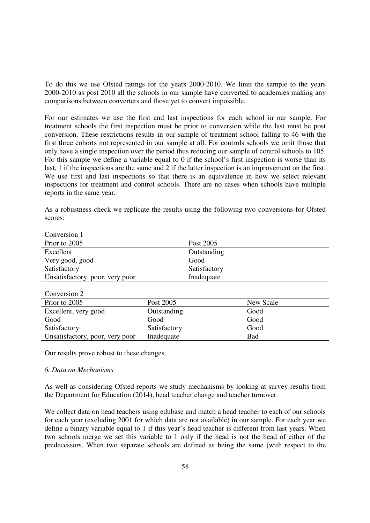To do this we use Ofsted ratings for the years 2000-2010. We limit the sample to the years 2000-2010 as post 2010 all the schools in our sample have converted to academies making any comparisons between converters and those yet to convert impossible.

For our estimates we use the first and last inspections for each school in our sample. For treatment schools the first inspection must be prior to conversion while the last must be post conversion. These restrictions results in our sample of treatment school falling to 46 with the first three cohorts not represented in our sample at all. For controls schools we omit those that only have a single inspection over the period thus reducing our sample of control schools to 105. For this sample we define a variable equal to 0 if the school's first inspection is worse than its last, 1 if the inspections are the same and 2 if the latter inspection is an improvement on the first. We use first and last inspections so that there is an equivalence in how we select relevant inspections for treatment and control schools. There are no cases when schools have multiple reports in the same year.

As a robustness check we replicate the results using the following two conversions for Ofsted scores:

| Conversion 1                    |              |
|---------------------------------|--------------|
| Prior to 2005                   | Post 2005    |
| Excellent                       | Outstanding  |
| Very good, good                 | Good         |
| Satisfactory                    | Satisfactory |
| Unsatisfactory, poor, very poor | Inadequate   |
|                                 |              |

Conversion 2

| Prior to 2005                   | Post 2005    | New Scale |
|---------------------------------|--------------|-----------|
| Excellent, very good            | Outstanding  | Good      |
| Good                            | Good         | Good      |
| Satisfactory                    | Satisfactory | Good      |
| Unsatisfactory, poor, very poor | Inadequate   | Bad       |

Our results prove robust to these changes.

#### *6. Data on Mechanisms*

As well as considering Ofsted reports we study mechanisms by looking at survey results from the Department for Education (2014), head teacher change and teacher turnover.

We collect data on head teachers using edubase and match a head teacher to each of our schools for each year (excluding 2001 for which data are not available) in our sample. For each year we define a binary variable equal to 1 if this year's head teacher is different from last years. When two schools merge we set this variable to 1 only if the head is not the head of either of the predecessors. When two separate schools are defined as being the same (with respect to the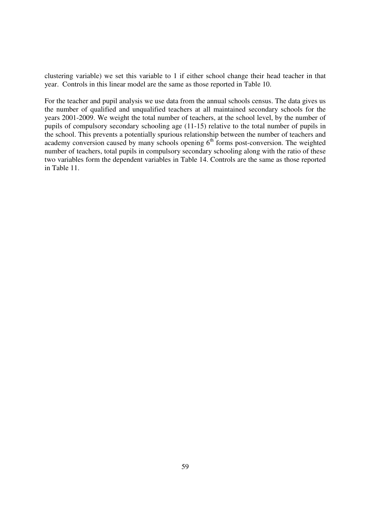clustering variable) we set this variable to 1 if either school change their head teacher in that year. Controls in this linear model are the same as those reported in Table 10.

For the teacher and pupil analysis we use data from the annual schools census. The data gives us the number of qualified and unqualified teachers at all maintained secondary schools for the years 2001-2009. We weight the total number of teachers, at the school level, by the number of pupils of compulsory secondary schooling age (11-15) relative to the total number of pupils in the school. This prevents a potentially spurious relationship between the number of teachers and academy conversion caused by many schools opening  $6<sup>th</sup>$  forms post-conversion. The weighted number of teachers, total pupils in compulsory secondary schooling along with the ratio of these two variables form the dependent variables in Table 14. Controls are the same as those reported in Table 11.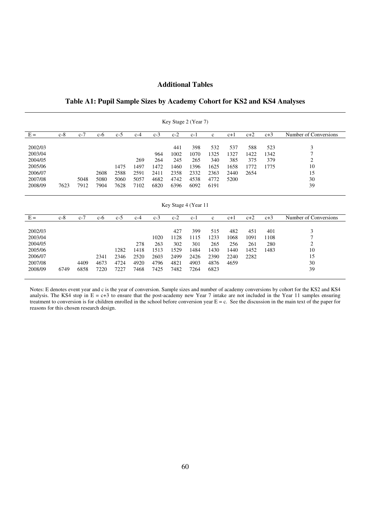## **Additional Tables**

# **Table A1: Pupil Sample Sizes by Academy Cohort for KS2 and KS4 Analyses**

|                               |       |       |       |       |       |             | Key Stage 2 (Year 7) |                    |                    |                    |                    |                    |                                       |
|-------------------------------|-------|-------|-------|-------|-------|-------------|----------------------|--------------------|--------------------|--------------------|--------------------|--------------------|---------------------------------------|
| $E =$                         | $c-8$ | $c-7$ | $c-6$ | $c-5$ | $c-4$ | $c-3$       | $c-2$                | $c-1$              | $\mathbf{c}$       | $c+1$              | $c+2$              | $c+3$              | Number of Conversions                 |
| 2002/03                       |       |       |       |       |       |             | 441                  | 398                | 532                | 537                | 588                | 523                | 3                                     |
| 2003/04                       |       |       |       |       |       | 964         | 1002                 | 1070               | 1325               | 1327               | 1422               | 1342               | $\tau$                                |
| 2004/05                       |       |       |       |       | 269   | 264         | 245                  | 265                | 340                | 385                | 375                | 379                | 2                                     |
| 2005/06                       |       |       |       | 1475  | 1497  | 1472        | 1460                 | 1396               | 1625               | 1658               | 1772               | 1775               | 10                                    |
| 2006/07                       |       |       | 2608  | 2588  | 2591  | 2411        | 2358                 | 2332               | 2363               | 2440               | 2654               |                    | 15                                    |
| 2007/08                       |       | 5048  | 5080  | 5060  | 5057  | 4682        | 4742                 | 4538               | 4772               | 5200               |                    |                    | 30                                    |
| 2008/09                       | 7623  | 7912  | 7904  | 7628  | 7102  | 6820        | 6396                 | 6092               | 6191               |                    |                    |                    | 39                                    |
|                               |       |       |       |       |       |             |                      |                    |                    |                    |                    |                    |                                       |
|                               |       |       |       |       |       |             |                      |                    |                    |                    |                    |                    |                                       |
|                               |       |       |       |       |       |             | Key Stage 4 (Year 11 |                    |                    |                    |                    |                    |                                       |
| $E =$                         | $c-8$ | $c-7$ | $c-6$ | $c-5$ | $c-4$ | $c-3$       | $c-2$                | $c-1$              | $\mathbf{c}$       | $c+1$              | $c+2$              | $c+3$              | Number of Conversions                 |
| 2002/03<br>2003/04<br>2004/05 |       |       |       |       | 278   | 1020<br>263 | 427<br>1128<br>302   | 399<br>1115<br>301 | 515<br>1233<br>265 | 482<br>1068<br>256 | 451<br>1091<br>261 | 401<br>1108<br>280 | 3<br>$\overline{7}$<br>$\overline{2}$ |
| 2005/06                       |       |       |       | 1282  | 1418  | 1513        | 1529                 | 1484               | 1430               | 1440               | 1452               | 1483               | 10                                    |
| 2006/07                       |       |       | 2341  | 2346  | 2520  | 2603        | 2499                 | 2426               | 2390               | 2240               | 2282               |                    | 15                                    |
| 2007/08                       |       | 4409  | 4673  | 4724  | 4920  | 4796        | 4821                 | 4903               | 4876               | 4659               |                    |                    | 30                                    |
| 2008/09                       | 6749  | 6858  | 7220  | 7227  | 7468  | 7425        | 7482                 | 7264               | 6823               |                    |                    |                    | 39                                    |

Notes: E denotes event year and c is the year of conversion. Sample sizes and number of academy conversions by cohort for the KS2 and KS4 analysis. The KS4 stop in  $E = c+3$  to ensure that the post-academy new Year 7 intake are not included in the Year 11 samples ensuring treatment to conversion is for children enrolled in the school before conversion year  $E = c$ . See the discussion in the main text of the paper for reasons for this chosen research design.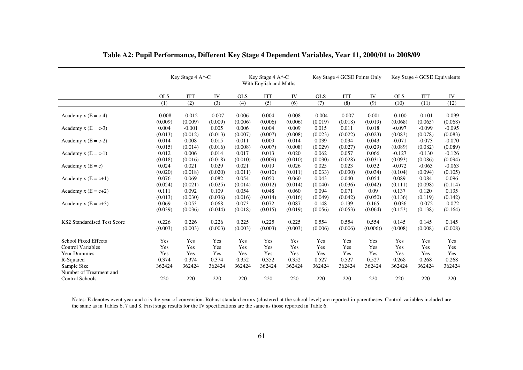|                             | Key Stage 4 A*-C    |                     |                     |                  | Key Stage 4 A*-C<br>With English and Maths |                  |                     | Key Stage 4 GCSE Points Only |                     | Key Stage 4 GCSE Equivalents |                     |                     |
|-----------------------------|---------------------|---------------------|---------------------|------------------|--------------------------------------------|------------------|---------------------|------------------------------|---------------------|------------------------------|---------------------|---------------------|
|                             | <b>OLS</b>          | <b>ITT</b>          | IV                  | <b>OLS</b>       | <b>ITT</b>                                 | IV               | <b>OLS</b>          | <b>ITT</b>                   | IV                  | <b>OLS</b>                   | <b>ITT</b>          | ${\rm IV}$          |
|                             | (1)                 | (2)                 | (3)                 | (4)              | (5)                                        | (6)              | (7)                 | (8)                          | (9)                 | (10)                         | (11)                | (12)                |
| Academy $x(E = c-4)$        | $-0.008$<br>(0.009) | $-0.012$<br>(0.009) | $-0.007$<br>(0.009) | 0.006<br>(0.006) | 0.004<br>(0.006)                           | 0.008<br>(0.006) | $-0.004$<br>(0.019) | $-0.007$<br>(0.018)          | $-0.001$<br>(0.019) | $-0.100$<br>(0.068)          | $-0.101$<br>(0.065) | $-0.099$<br>(0.068) |
| Academy $x(E = c-3)$        | 0.004               | $-0.001$            | 0.005               | 0.006            | 0.004                                      | 0.009            | 0.015               | 0.011                        | 0.018               | $-0.097$                     | $-0.099$            | $-0.095$            |
|                             | (0.013)             | (0.012)             | (0.013)             | (0.007)          | (0.007)                                    | (0.008)          | (0.023)             | (0.022)                      | (0.023)             | (0.083)                      | (0.078)             | (0.083)             |
| Academy $x(E = c-2)$        | 0.014               | 0.008               | 0.015               | 0.011            | 0.009                                      | 0.014            | 0.039               | 0.034                        | 0.043               | $-0.071$                     | $-0.073$            | $-0.070$            |
|                             | (0.015)             | (0.014)             | (0.016)             | (0.008)          | (0.007)                                    | (0.008)          | (0.029)             | (0.027)                      | (0.029)             | (0.089)                      | (0.082)             | (0.089)             |
| Academy $x(E = c-1)$        | 0.012               | 0.006               | 0.014               | 0.017            | 0.013                                      | 0.020            | 0.062               | 0.057                        | 0.066               | $-0.127$                     | $-0.130$            | $-0.126$            |
|                             | (0.018)             | (0.016)             | (0.018)             | (0.010)          | (0.009)                                    | (0.010)          | (0.030)             | (0.028)                      | (0.031)             | (0.093)                      | (0.086)             | (0.094)             |
| Academy $x(E = c)$          | 0.024               | 0.021               | 0.029               | 0.021            | 0.019                                      | 0.026            | 0.025               | 0.023                        | 0.032               | $-0.072$                     | $-0.063$            | $-0.063$            |
|                             | (0.020)             | (0.018)             | (0.020)             | (0.011)          | (0.010)                                    | (0.011)          | (0.033)             | (0.030)                      | (0.034)             | (0.104)                      | (0.094)             | (0.105)             |
| Academy $x(E = c+1)$        | 0.076               | 0.069               | 0.082               | 0.054            | 0.050                                      | 0.060            | 0.043               | 0.040                        | 0.054               | 0.089                        | 0.084               | 0.096               |
|                             | (0.024)             | (0.021)             | (0.025)             | (0.014)          | (0.012)                                    | (0.014)          | (0.040)             | (0.036)                      | (0.042)             | (0.111)                      | (0.098)             | (0.114)             |
| Academy $x(E = c+2)$        | 0.111               | 0.092               | 0.109               | 0.054            | 0.048                                      | 0.060            | 0.094               | 0.071                        | 0.09                | 0.137                        | 0.120               | 0.135               |
|                             | (0.013)             | (0.030)             | (0.036)             | (0.016)          | (0.014)                                    | (0.016)          | (0.049)             | (0.042)                      | (0.050)             | (0.136)                      | (0.119)             | (0.142)             |
| Academy $x(E = c+3)$        | 0.069               | 0.053               | 0.068               | 0.073            | 0.072                                      | 0.087            | 0.148               | 0.139                        | 0.165               | $-0.036$                     | $-0.072$            | $-0.072$            |
|                             | (0.039)             | (0.036)             | (0.044)             | (0.018)          | (0.015)                                    | (0.019)          | (0.056)             | (0.053)                      | (0.064)             | (0.153)                      | (0.138)             | (0.164)             |
| KS2 Standardised Test Score | 0.226               | 0.226               | 0.226               | 0.225            | 0.225                                      | 0.225            | 0.554               | 0.554                        | 0.554               | 0.145                        | 0.145               | 0.145               |
|                             | (0.003)             | (0.003)             | (0.003)             | (0.003)          | (0.003)                                    | (0.003)          | (0.006)             | (0.006)                      | (0.006)             | (0.008)                      | (0.008)             | (0.008)             |
| <b>School Fixed Effects</b> | Yes                 | Yes                 | Yes                 | Yes              | Yes                                        | Yes              | Yes                 | Yes                          | Yes                 | Yes                          | Yes                 | Yes                 |
| <b>Control Variables</b>    | Yes                 | Yes                 | Yes                 | Yes              | Yes                                        | Yes              | Yes                 | Yes                          | Yes                 | Yes                          | Yes                 | Yes                 |
| <b>Year Dummies</b>         | Yes                 | Yes                 | Yes                 | Yes              | Yes                                        | Yes              | Yes                 | Yes                          | Yes                 | Yes                          | Yes                 | Yes                 |
| R-Squared                   | 0.374               | 0.374               | 0.374               | 0.352            | 0.352                                      | 0.352            | 0.527               | 0.527                        | 0.527               | 0.268                        | 0.268               | 0.268               |
| Sample Size                 | 362424              | 362424              | 362424              | 362424           | 362424                                     | 362424           | 362424              | 362424                       | 362424              | 362424                       | 362424              | 362424              |
| Number of Treatment and     |                     |                     |                     |                  |                                            |                  |                     |                              |                     |                              |                     |                     |
| <b>Control Schools</b>      | 220                 | 220                 | 220                 | 220              | 220                                        | 220              | 220                 | 220                          | 220                 | 220                          | 220                 | 220                 |

**Table A2: Pupil Performance, Different Key Stage 4 Dependent Variables, Year 11, 2000/01 to 2008/09** 

Notes: E denotes event year and c is the year of conversion. Robust standard errors (clustered at the school level) are reported in parentheses. Control variables included are<br>the same as in Tables 6, 7 and 8. First stage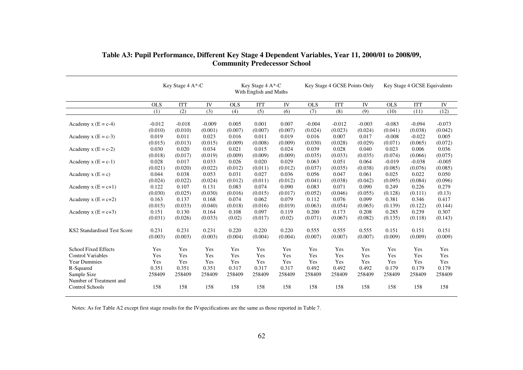|                                        | Key Stage 4 A*-C |            |          |            | Key Stage 4 A*-C<br>With English and Maths |         |            | Key Stage 4 GCSE Points Only |          | Key Stage 4 GCSE Equivalents |            |          |
|----------------------------------------|------------------|------------|----------|------------|--------------------------------------------|---------|------------|------------------------------|----------|------------------------------|------------|----------|
|                                        | <b>OLS</b>       | <b>ITT</b> | IV       | <b>OLS</b> | <b>ITT</b>                                 | IV      | <b>OLS</b> | <b>ITT</b>                   | IV       | <b>OLS</b>                   | <b>ITT</b> | IV       |
|                                        | (1)              | (2)        | (3)      | (4)        | (5)                                        | (6)     | (7)        | (8)                          | (9)      | (10)                         | (11)       | (12)     |
| Academy $x(E = c-4)$                   | $-0.012$         | $-0.018$   | $-0.009$ | 0.005      | 0.001                                      | 0.007   | $-0.004$   | $-0.012$                     | $-0.003$ | $-0.083$                     | $-0.094$   | $-0.073$ |
|                                        | (0.010)          | (0.010)    | (0.001)  | (0.007)    | (0.007)                                    | (0.007) | (0.024)    | (0.023)                      | (0.024)  | (0.041)                      | (0.038)    | (0.042)  |
| Academy $x(E = c-3)$                   | 0.019            | 0.011      | 0.023    | 0.016      | 0.011                                      | 0.019   | 0.016      | 0.007                        | 0.017    | $-0.008$                     | $-0.022$   | 0.005    |
|                                        | (0.015)          | (0.013)    | (0.015)  | (0.009)    | (0.008)                                    | (0.009) | (0.030)    | (0.028)                      | (0.029)  | (0.071)                      | (0.065)    | (0.072)  |
| Academy $x (E = c-2)$                  | 0.030            | 0.020      | 0.034    | 0.021      | 0.015                                      | 0.024   | 0.039      | 0.028                        | 0.040    | 0.023                        | 0.006      | 0.036    |
|                                        | (0.018)          | (0.017)    | (0.019)  | (0.009)    | (0.009)                                    | (0.009) | (0.035)    | (0.033)                      | (0.035)  | (0.074)                      | (0.066)    | (0.075)  |
| Academy $x(E = c-1)$                   | 0.028            | 0.017      | 0.033    | 0.026      | 0.020                                      | 0.029   | 0.063      | 0.051                        | 0.064    | $-0.019$                     | $-0.038$   | $-0.005$ |
|                                        | (0.021)          | (0.020)    | (0.022)  | (0.012)    | (0.011)                                    | (0.012) | (0.037)    | (0.035)                      | (0.038)  | (0.085)                      | (0.076)    | (0.085)  |
| Academy $x(E = c)$                     | 0.044            | 0.038      | 0.053    | 0.031      | 0.027                                      | 0.036   | 0.056      | 0.047                        | 0.061    | 0.025                        | 0.022      | 0.050    |
|                                        | (0.024)          | (0.022)    | (0.024)  | (0.012)    | (0.011)                                    | (0.012) | (0.041)    | (0.038)                      | (0.042)  | (0.095)                      | (0.084)    | (0.096)  |
| Academy $x(E = c+1)$                   | 0.122            | 0.107      | 0.131    | 0.083      | 0.074                                      | 0.090   | 0.083      | 0.071                        | 0.090    | 0.249                        | 0.226      | 0.279    |
|                                        | (0.030)          | (0.025)    | (0.030)  | (0.016)    | (0.015)                                    | (0.017) | (0.052)    | (0.046)                      | (0.055)  | (0.128)                      | (0.111)    | (0.13)   |
| Academy $x(E = c+2)$                   | 0.163            | 0.137      | 0.168    | 0.074      | 0.062                                      | 0.079   | 0.112      | 0.076                        | 0.099    | 0.381                        | 0.346      | 0.417    |
|                                        | (0.015)          | (0.033)    | (0.040)  | (0.018)    | (0.016)                                    | (0.019) | (0.063)    | (0.054)                      | (0.065)  | (0.139)                      | (0.122)    | (0.144)  |
| Academy $x(E = c+3)$                   | 0.151            | 0.130      | 0.164    | 0.108      | 0.097                                      | 0.119   | 0.200      | 0.173                        | 0.208    | 0.285                        | 0.239      | 0.307    |
|                                        | (0.031)          | (0.026)    | (0.033)  | (0.02)     | (0.017)                                    | (0.02)  | (0.071)    | (0.067)                      | (0.082)  | (0.135)                      | (0.118)    | (0.143)  |
| KS2 Standardised Test Score            | 0.231            | 0.231      | 0.231    | 0.220      | 0.220                                      | 0.220   | 0.555      | 0.555                        | 0.555    | 0.151                        | 0.151      | 0.151    |
|                                        | (0.003)          | (0.003)    | (0.003)  | (0.004)    | (0.004)                                    | (0.004) | (0.007)    | (0.007)                      | (0.007)  | (0.009)                      | (0.009)    | (0.009)  |
| <b>School Fixed Effects</b>            | Yes              | Yes        | Yes      | Yes        | Yes                                        | Yes     | Yes        | Yes                          | Yes      | Yes                          | Yes        | Yes      |
| <b>Control Variables</b>               | Yes              | Yes        | Yes      | Yes        | Yes                                        | Yes     | Yes        | Yes                          | Yes      | Yes                          | Yes        | Yes      |
| <b>Year Dummies</b>                    | Yes              | Yes        | Yes      | Yes        | Yes                                        | Yes     | Yes        | Yes                          | Yes      | Yes                          | Yes        | Yes      |
| R-Squared                              | 0.351            | 0.351      | 0.351    | 0.317      | 0.317                                      | 0.317   | 0.492      | 0.492                        | 0.492    | 0.179                        | 0.179      | 0.179    |
| Sample Size<br>Number of Treatment and | 258409           | 258409     | 258409   | 258409     | 258409                                     | 258409  | 258409     | 258409                       | 258409   | 258409                       | 258409     | 258409   |
| Control Schools                        | 158              | 158        | 158      | 158        | 158                                        | 158     | 158        | 158                          | 158      | 158                          | 158        | 158      |

# **Table A3: Pupil Performance, Different Key Stage 4 Dependent Variables, Year 11, 2000/01 to 2008/09, Community Predecessor School**

Notes: As for Table A2 except first stage results for the IVspecifications are the same as those reported in Table 7.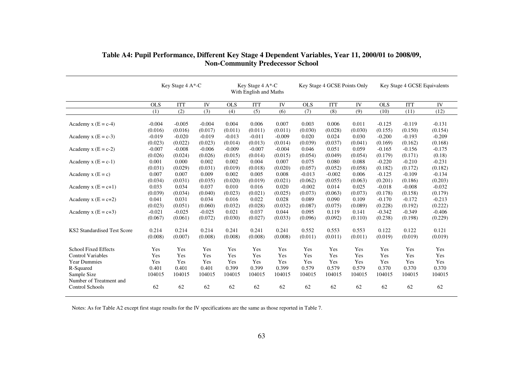|                             | Key Stage 4 A*-C |            |           |            | Key Stage 4 A*-C<br>With English and Maths |           |            | Key Stage 4 GCSE Points Only |         | Key Stage 4 GCSE Equivalents |            |          |
|-----------------------------|------------------|------------|-----------|------------|--------------------------------------------|-----------|------------|------------------------------|---------|------------------------------|------------|----------|
|                             | <b>OLS</b>       | <b>ITT</b> | <b>IV</b> | <b>OLS</b> | <b>ITT</b>                                 | <b>IV</b> | <b>OLS</b> | <b>ITT</b>                   | IV      | OLS <sub></sub>              | <b>ITT</b> | IV       |
|                             | (1)              | (2)        | (3)       | (4)        | (5)                                        | (6)       | (7)        | (8)                          | (9)     | (10)                         | (11)       | (12)     |
| Academy $x(E = c-4)$        | $-0.004$         | $-0.005$   | $-0.004$  | 0.004      | 0.006                                      | 0.007     | 0.003      | 0.006                        | 0.011   | $-0.125$                     | $-0.119$   | $-0.131$ |
|                             | (0.016)          | (0.016)    | (0.017)   | (0.011)    | (0.011)                                    | (0.011)   | (0.030)    | (0.028)                      | (0.030) | (0.155)                      | (0.150)    | (0.154)  |
| Academy $x (E = c-3)$       | $-0.019$         | $-0.020$   | $-0.019$  | $-0.013$   | $-0.011$                                   | $-0.009$  | 0.020      | 0.024                        | 0.030   | $-0.200$                     | $-0.193$   | $-0.209$ |
|                             | (0.023)          | (0.022)    | (0.023)   | (0.014)    | (0.013)                                    | (0.014)   | (0.039)    | (0.037)                      | (0.041) | (0.169)                      | (0.162)    | (0.168)  |
| Academy $x (E = c-2)$       | $-0.007$         | $-0.008$   | $-0.006$  | $-0.009$   | $-0.007$                                   | $-0.004$  | 0.046      | 0.051                        | 0.059   | $-0.165$                     | $-0.156$   | $-0.175$ |
|                             | (0.026)          | (0.024)    | (0.026)   | (0.015)    | (0.014)                                    | (0.015)   | (0.054)    | (0.049)                      | (0.054) | (0.179)                      | (0.171)    | (0.18)   |
| Academy $x (E = c-1)$       | 0.001            | 0.000      | 0.002     | 0.002      | 0.004                                      | 0.007     | 0.075      | 0.080                        | 0.088   | $-0.220$                     | $-0.210$   | $-0.231$ |
|                             | (0.031)          | (0.029)    | (0.031)   | (0.019)    | (0.018)                                    | (0.020)   | (0.057)    | (0.052)                      | (0.058) | (0.182)                      | (0.172)    | (0.182)  |
| Academy $x(E = c)$          | 0.007            | 0.007      | 0.009     | 0.002      | 0.005                                      | 0.008     | $-0.013$   | $-0.002$                     | 0.006   | $-0.125$                     | $-0.109$   | $-0.134$ |
|                             | (0.034)          | (0.031)    | (0.035)   | (0.020)    | (0.019)                                    | (0.021)   | (0.062)    | (0.055)                      | (0.063) | (0.201)                      | (0.186)    | (0.203)  |
| Academy $x(E = c+1)$        | 0.033            | 0.034      | 0.037     | 0.010      | 0.016                                      | 0.020     | $-0.002$   | 0.014                        | 0.025   | $-0.018$                     | $-0.008$   | $-0.032$ |
|                             | (0.039)          | (0.034)    | (0.040)   | (0.023)    | (0.021)                                    | (0.025)   | (0.073)    | (0.063)                      | (0.073) | (0.178)                      | (0.158)    | (0.179)  |
| Academy x $(E = c+2)$       | 0.041            | 0.031      | 0.034     | 0.016      | 0.022                                      | 0.028     | 0.089      | 0.090                        | 0.109   | $-0.170$                     | $-0.172$   | $-0.213$ |
|                             | (0.023)          | (0.051)    | (0.060)   | (0.032)    | (0.028)                                    | (0.032)   | (0.087)    | (0.075)                      | (0.089) | (0.228)                      | (0.192)    | (0.222)  |
| Academy $x(E = c+3)$        | $-0.021$         | $-0.025$   | $-0.025$  | 0.021      | 0.037                                      | 0.044     | 0.095      | 0.119                        | 0.141   | $-0.342$                     | $-0.349$   | $-0.406$ |
|                             | (0.067)          | (0.061)    | (0.072)   | (0.030)    | (0.027)                                    | (0.033)   | (0.096)    | (0.092)                      | (0.110) | (0.238)                      | (0.198)    | (0.229)  |
| KS2 Standardised Test Score | 0.214            | 0.214      | 0.214     | 0.241      | 0.241                                      | 0.241     | 0.552      | 0.553                        | 0.553   | 0.122                        | 0.122      | 0.121    |
|                             | (0.008)          | (0.007)    | (0.008)   | (0.008)    | (0.008)                                    | (0.008)   | (0.011)    | (0.011)                      | (0.011) | (0.019)                      | (0.019)    | (0.019)  |
| <b>School Fixed Effects</b> | Yes              | Yes        | Yes       | Yes        | Yes                                        | Yes       | Yes        | Yes                          | Yes     | Yes                          | Yes        | Yes      |
| <b>Control Variables</b>    | Yes              | Yes        | Yes       | Yes        | Yes                                        | Yes       | Yes        | Yes                          | Yes     | Yes                          | Yes        | Yes      |
| <b>Year Dummies</b>         | Yes              | Yes        | Yes       | Yes        | Yes                                        | Yes       | Yes        | Yes                          | Yes     | Yes                          | Yes        | Yes      |
| R-Squared                   | 0.401            | 0.401      | 0.401     | 0.399      | 0.399                                      | 0.399     | 0.579      | 0.579                        | 0.579   | 0.370                        | 0.370      | 0.370    |
| Sample Size                 | 104015           | 104015     | 104015    | 104015     | 104015                                     | 104015    | 104015     | 104015                       | 104015  | 104015                       | 104015     | 104015   |
| Number of Treatment and     |                  |            |           |            |                                            |           |            |                              |         |                              |            |          |
| <b>Control Schools</b>      | 62               | 62         | 62        | 62         | 62                                         | 62        | 62         | 62                           | 62      | 62                           | 62         | 62       |

# **Table A4: Pupil Performance, Different Key Stage 4 Dependent Variables, Year 11, 2000/01 to 2008/09, Non-Community Predecessor School**

Notes: As for Table A2 except first stage results for the IV specifications are the same as those reported in Table 7.